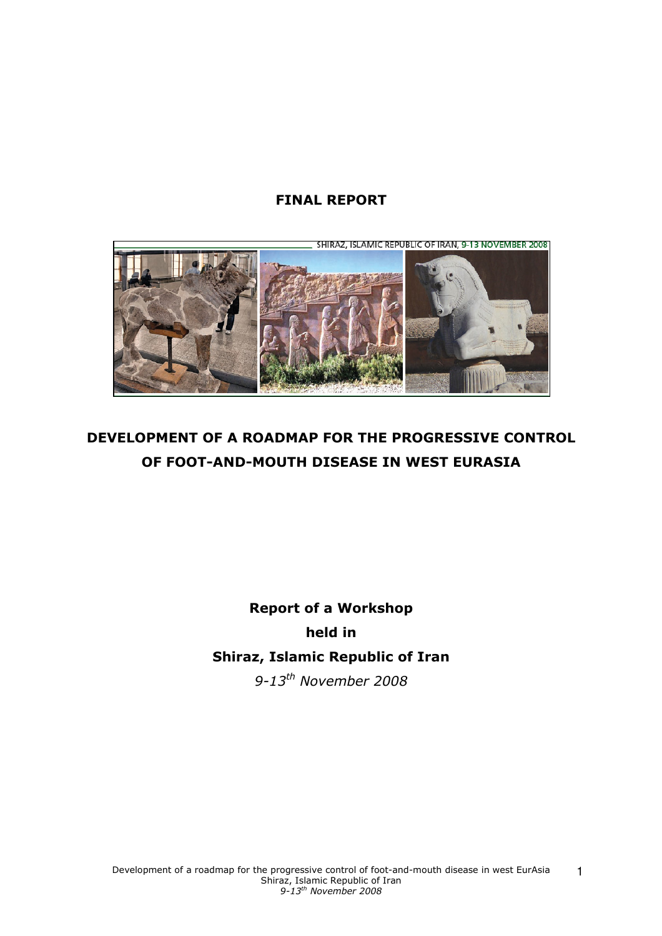# FINAL REPORT



# DEVELOPMENT OF A ROADMAP FOR THE PROGRESSIVE CONTROL OF FOOT-AND-MOUTH DISEASE IN WEST EURASIA

# Report of a Workshop held in Shiraz, Islamic Republic of Iran 9-13<sup>th</sup> November 2008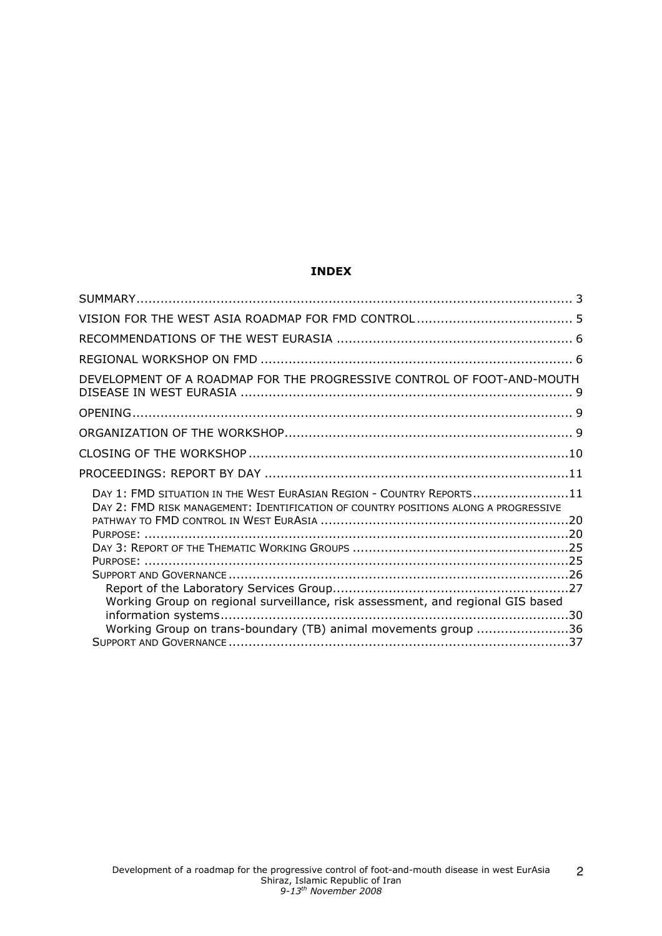## INDEX

| DEVELOPMENT OF A ROADMAP FOR THE PROGRESSIVE CONTROL OF FOOT-AND-MOUTH                                                                                      |  |
|-------------------------------------------------------------------------------------------------------------------------------------------------------------|--|
|                                                                                                                                                             |  |
|                                                                                                                                                             |  |
|                                                                                                                                                             |  |
|                                                                                                                                                             |  |
| DAY 1: FMD SITUATION IN THE WEST EURASIAN REGION - COUNTRY REPORTS11<br>DAY 2: FMD RISK MANAGEMENT: IDENTIFICATION OF COUNTRY POSITIONS ALONG A PROGRESSIVE |  |
|                                                                                                                                                             |  |
| Working Group on regional surveillance, risk assessment, and regional GIS based                                                                             |  |
| Working Group on trans-boundary (TB) animal movements group 36                                                                                              |  |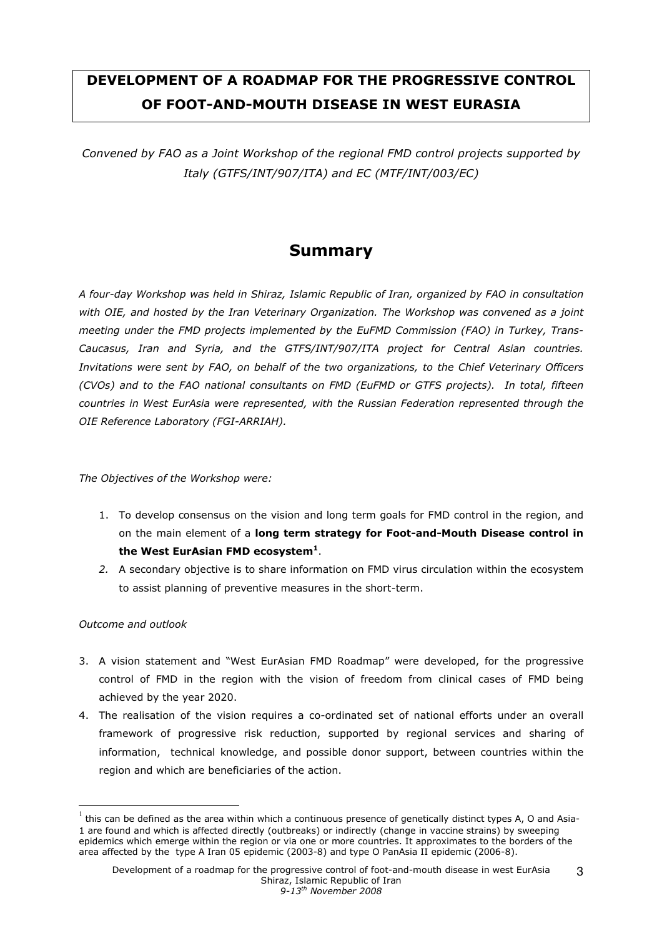# DEVELOPMENT OF A ROADMAP FOR THE PROGRESSIVE CONTROL OF FOOT-AND-MOUTH DISEASE IN WEST EURASIA

Convened by FAO as a Joint Workshop of the regional FMD control projects supported by Italy (GTFS/INT/907/ITA) and EC (MTF/INT/003/EC)

# Summary

A four-day Workshop was held in Shiraz, Islamic Republic of Iran, organized by FAO in consultation with OIE, and hosted by the Iran Veterinary Organization. The Workshop was convened as a joint meeting under the FMD projects implemented by the EuFMD Commission (FAO) in Turkey, Trans-Caucasus, Iran and Syria, and the GTFS/INT/907/ITA project for Central Asian countries. Invitations were sent by FAO, on behalf of the two organizations, to the Chief Veterinary Officers (CVOs) and to the FAO national consultants on FMD (EuFMD or GTFS projects). In total, fifteen countries in West EurAsia were represented, with the Russian Federation represented through the OIE Reference Laboratory (FGI-ARRIAH).

The Objectives of the Workshop were:

- 1. To develop consensus on the vision and long term goals for FMD control in the region, and on the main element of a long term strategy for Foot-and-Mouth Disease control in the West EurAsian FMD ecosystem $^{\rm 1}.$
- 2. A secondary objective is to share information on FMD virus circulation within the ecosystem to assist planning of preventive measures in the short-term.

## Outcome and outlook

 $\overline{a}$ 

- 3. A vision statement and "West EurAsian FMD Roadmap" were developed, for the progressive control of FMD in the region with the vision of freedom from clinical cases of FMD being achieved by the year 2020.
- 4. The realisation of the vision requires a co-ordinated set of national efforts under an overall framework of progressive risk reduction, supported by regional services and sharing of information, technical knowledge, and possible donor support, between countries within the region and which are beneficiaries of the action.

3

 $^1$  this can be defined as the area within which a continuous presence of genetically distinct types A, O and Asia-1 are found and which is affected directly (outbreaks) or indirectly (change in vaccine strains) by sweeping epidemics which emerge within the region or via one or more countries. It approximates to the borders of the area affected by the type A Iran 05 epidemic (2003-8) and type O PanAsia II epidemic (2006-8).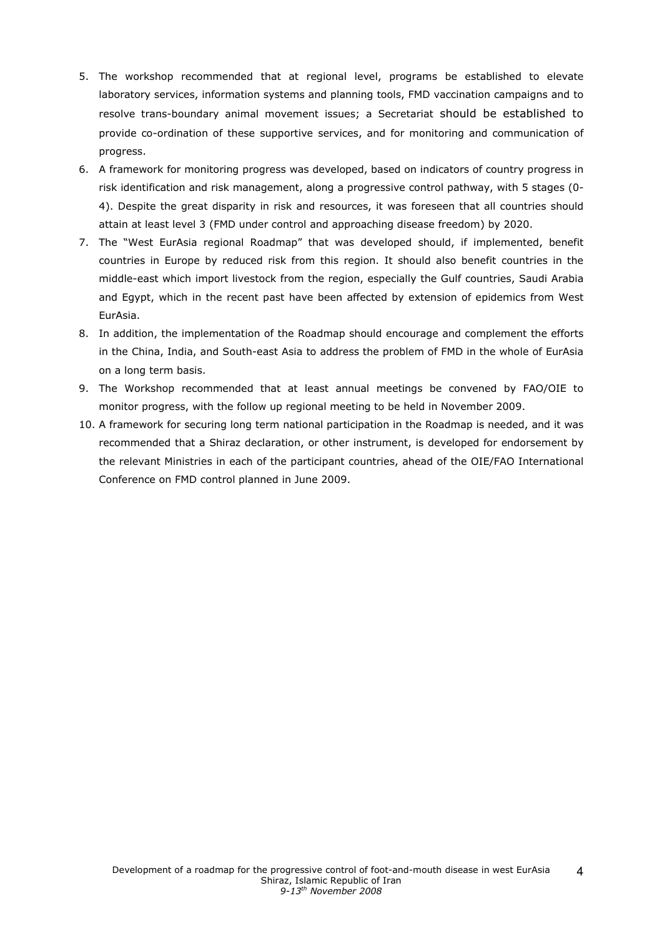- 5. The workshop recommended that at regional level, programs be established to elevate laboratory services, information systems and planning tools, FMD vaccination campaigns and to resolve trans-boundary animal movement issues; a Secretariat should be established to provide co-ordination of these supportive services, and for monitoring and communication of progress.
- 6. A framework for monitoring progress was developed, based on indicators of country progress in risk identification and risk management, along a progressive control pathway, with 5 stages (0- 4). Despite the great disparity in risk and resources, it was foreseen that all countries should attain at least level 3 (FMD under control and approaching disease freedom) by 2020.
- 7. The "West EurAsia regional Roadmap" that was developed should, if implemented, benefit countries in Europe by reduced risk from this region. It should also benefit countries in the middle-east which import livestock from the region, especially the Gulf countries, Saudi Arabia and Egypt, which in the recent past have been affected by extension of epidemics from West EurAsia.
- 8. In addition, the implementation of the Roadmap should encourage and complement the efforts in the China, India, and South-east Asia to address the problem of FMD in the whole of EurAsia on a long term basis.
- 9. The Workshop recommended that at least annual meetings be convened by FAO/OIE to monitor progress, with the follow up regional meeting to be held in November 2009.
- 10. A framework for securing long term national participation in the Roadmap is needed, and it was recommended that a Shiraz declaration, or other instrument, is developed for endorsement by the relevant Ministries in each of the participant countries, ahead of the OIE/FAO International Conference on FMD control planned in June 2009.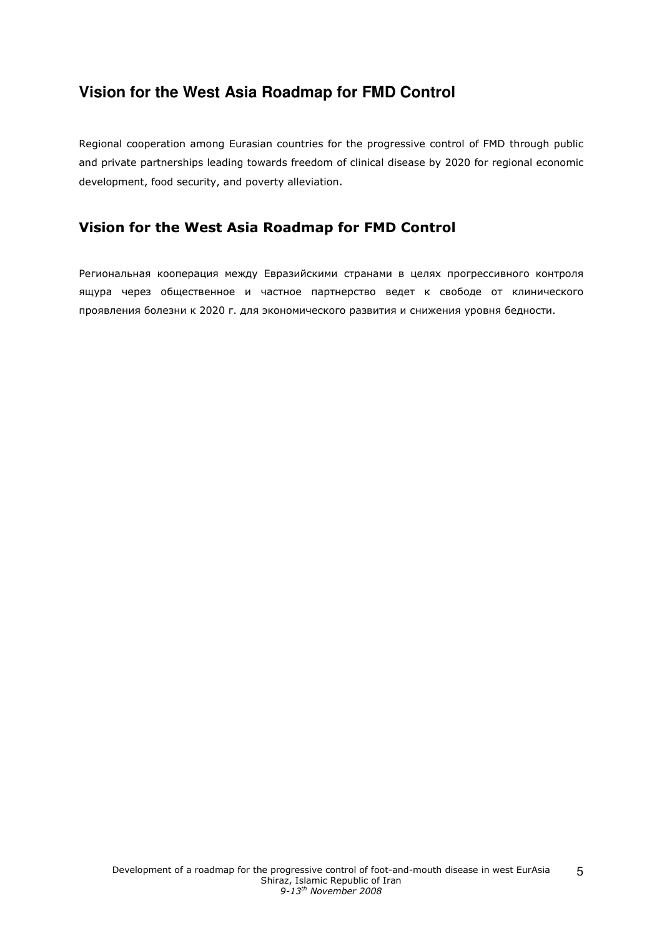# **Vision for the West Asia Roadmap for FMD Control**

Regional cooperation among Eurasian countries for the progressive control of FMD through public and private partnerships leading towards freedom of clinical disease by 2020 for regional economic development, food security, and poverty alleviation.

# Vision for the West Asia Roadmap for FMD Control

Региональная кооперация между Евразийскими странами в целях прогрессивного контроля ящура через общественное и частное партнерство ведет к свободе от клинического проявления болезни к 2020 г. для экономического развития и снижения уровня бедности.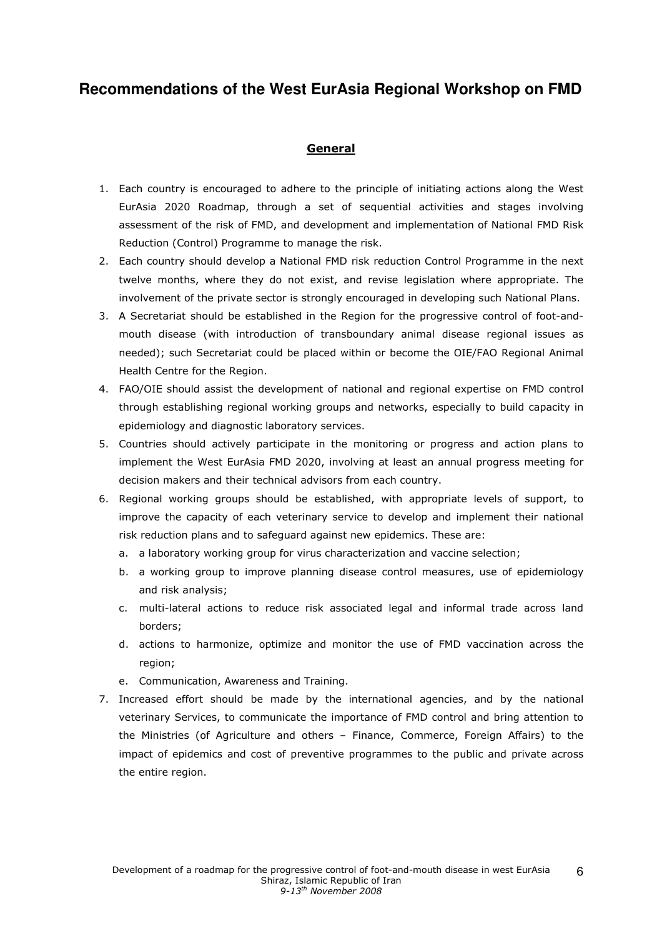# **Recommendations of the West EurAsia Regional Workshop on FMD**

## General

- 1. Each country is encouraged to adhere to the principle of initiating actions along the West EurAsia 2020 Roadmap, through a set of sequential activities and stages involving assessment of the risk of FMD, and development and implementation of National FMD Risk Reduction (Control) Programme to manage the risk.
- 2. Each country should develop a National FMD risk reduction Control Programme in the next twelve months, where they do not exist, and revise legislation where appropriate. The involvement of the private sector is strongly encouraged in developing such National Plans.
- 3. A Secretariat should be established in the Region for the progressive control of foot-andmouth disease (with introduction of transboundary animal disease regional issues as needed); such Secretariat could be placed within or become the OIE/FAO Regional Animal Health Centre for the Region.
- 4. FAO/OIE should assist the development of national and regional expertise on FMD control through establishing regional working groups and networks, especially to build capacity in epidemiology and diagnostic laboratory services.
- 5. Countries should actively participate in the monitoring or progress and action plans to implement the West EurAsia FMD 2020, involving at least an annual progress meeting for decision makers and their technical advisors from each country.
- 6. Regional working groups should be established, with appropriate levels of support, to improve the capacity of each veterinary service to develop and implement their national risk reduction plans and to safeguard against new epidemics. These are:
	- a. a laboratory working group for virus characterization and vaccine selection;
	- b. a working group to improve planning disease control measures, use of epidemiology and risk analysis;
	- c. multi-lateral actions to reduce risk associated legal and informal trade across land borders;
	- d. actions to harmonize, optimize and monitor the use of FMD vaccination across the region;
	- e. Communication, Awareness and Training.
- 7. Increased effort should be made by the international agencies, and by the national veterinary Services, to communicate the importance of FMD control and bring attention to the Ministries (of Agriculture and others – Finance, Commerce, Foreign Affairs) to the impact of epidemics and cost of preventive programmes to the public and private across the entire region.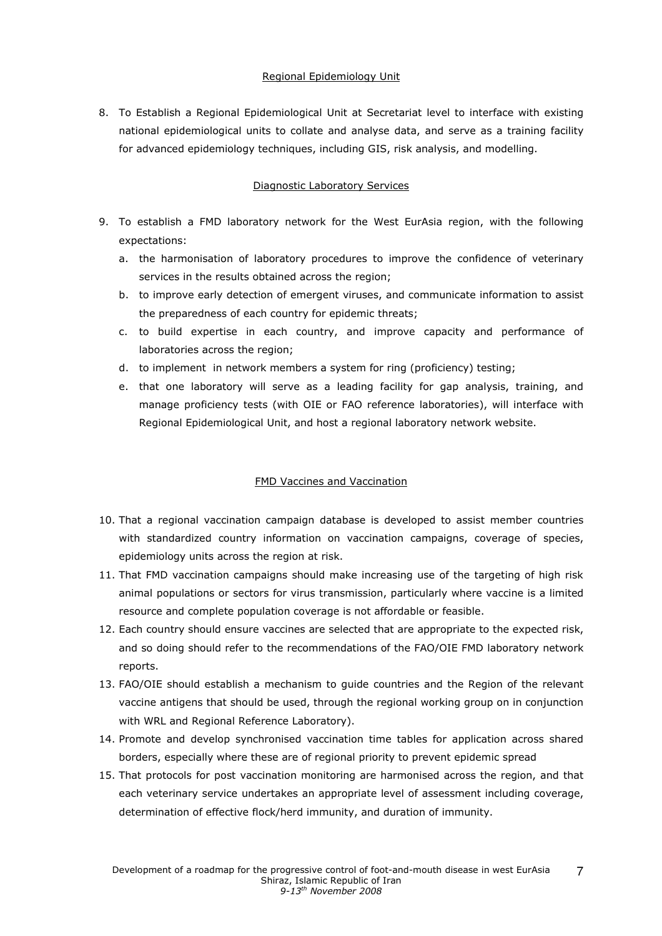### Regional Epidemiology Unit

8. To Establish a Regional Epidemiological Unit at Secretariat level to interface with existing national epidemiological units to collate and analyse data, and serve as a training facility for advanced epidemiology techniques, including GIS, risk analysis, and modelling.

## Diagnostic Laboratory Services

- 9. To establish a FMD laboratory network for the West EurAsia region, with the following expectations:
	- a. the harmonisation of laboratory procedures to improve the confidence of veterinary services in the results obtained across the region;
	- b. to improve early detection of emergent viruses, and communicate information to assist the preparedness of each country for epidemic threats;
	- c. to build expertise in each country, and improve capacity and performance of laboratories across the region;
	- d. to implement in network members a system for ring (proficiency) testing;
	- e. that one laboratory will serve as a leading facility for gap analysis, training, and manage proficiency tests (with OIE or FAO reference laboratories), will interface with Regional Epidemiological Unit, and host a regional laboratory network website.

## FMD Vaccines and Vaccination

- 10. That a regional vaccination campaign database is developed to assist member countries with standardized country information on vaccination campaigns, coverage of species, epidemiology units across the region at risk.
- 11. That FMD vaccination campaigns should make increasing use of the targeting of high risk animal populations or sectors for virus transmission, particularly where vaccine is a limited resource and complete population coverage is not affordable or feasible.
- 12. Each country should ensure vaccines are selected that are appropriate to the expected risk, and so doing should refer to the recommendations of the FAO/OIE FMD laboratory network reports.
- 13. FAO/OIE should establish a mechanism to guide countries and the Region of the relevant vaccine antigens that should be used, through the regional working group on in conjunction with WRL and Regional Reference Laboratory).
- 14. Promote and develop synchronised vaccination time tables for application across shared borders, especially where these are of regional priority to prevent epidemic spread
- 15. That protocols for post vaccination monitoring are harmonised across the region, and that each veterinary service undertakes an appropriate level of assessment including coverage, determination of effective flock/herd immunity, and duration of immunity.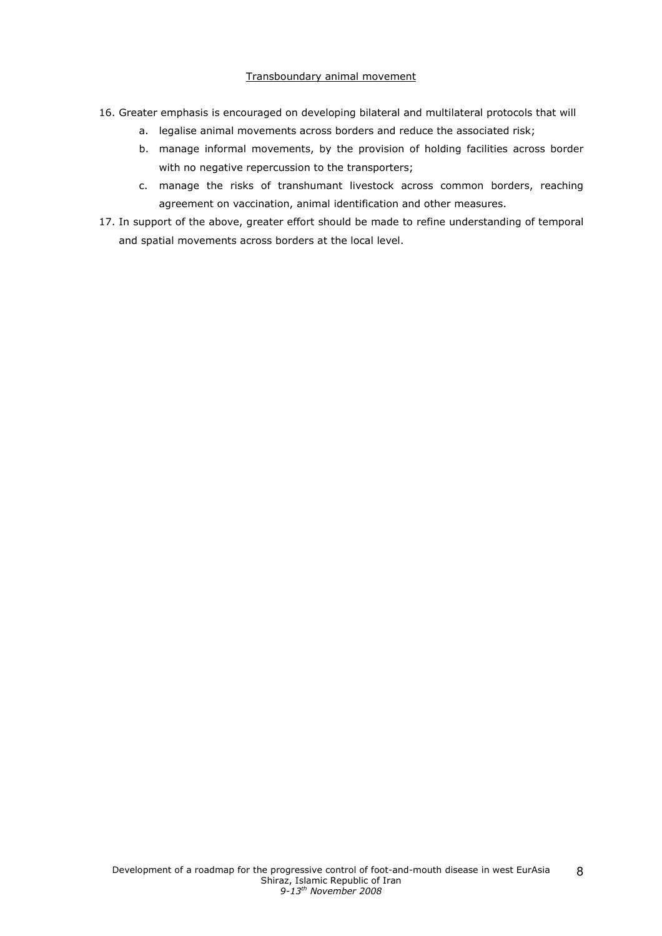### Transboundary animal movement

- 16. Greater emphasis is encouraged on developing bilateral and multilateral protocols that will
	- a. legalise animal movements across borders and reduce the associated risk;
	- b. manage informal movements, by the provision of holding facilities across border with no negative repercussion to the transporters;
	- c. manage the risks of transhumant livestock across common borders, reaching agreement on vaccination, animal identification and other measures.
- 17. In support of the above, greater effort should be made to refine understanding of temporal and spatial movements across borders at the local level.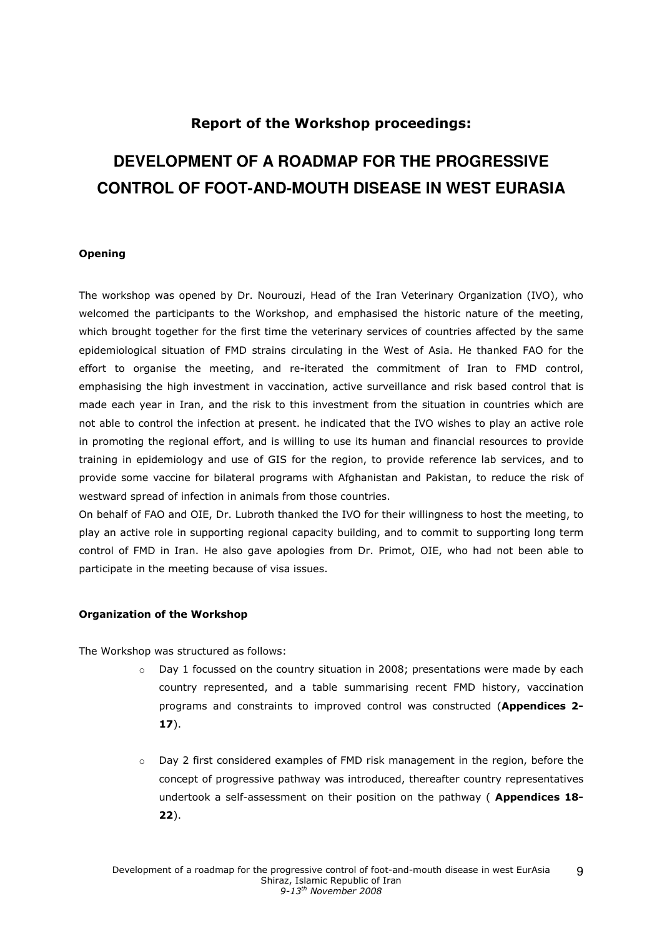# Report of the Workshop proceedings:

# **DEVELOPMENT OF A ROADMAP FOR THE PROGRESSIVE CONTROL OF FOOT-AND-MOUTH DISEASE IN WEST EURASIA**

### Opening

The workshop was opened by Dr. Nourouzi, Head of the Iran Veterinary Organization (IVO), who welcomed the participants to the Workshop, and emphasised the historic nature of the meeting, which brought together for the first time the veterinary services of countries affected by the same epidemiological situation of FMD strains circulating in the West of Asia. He thanked FAO for the effort to organise the meeting, and re-iterated the commitment of Iran to FMD control, emphasising the high investment in vaccination, active surveillance and risk based control that is made each year in Iran, and the risk to this investment from the situation in countries which are not able to control the infection at present. he indicated that the IVO wishes to play an active role in promoting the regional effort, and is willing to use its human and financial resources to provide training in epidemiology and use of GIS for the region, to provide reference lab services, and to provide some vaccine for bilateral programs with Afghanistan and Pakistan, to reduce the risk of westward spread of infection in animals from those countries.

On behalf of FAO and OIE, Dr. Lubroth thanked the IVO for their willingness to host the meeting, to play an active role in supporting regional capacity building, and to commit to supporting long term control of FMD in Iran. He also gave apologies from Dr. Primot, OIE, who had not been able to participate in the meeting because of visa issues.

#### Organization of the Workshop

The Workshop was structured as follows:

- o Day 1 focussed on the country situation in 2008; presentations were made by each country represented, and a table summarising recent FMD history, vaccination programs and constraints to improved control was constructed (Appendices 2- 17).
- $\circ$  Day 2 first considered examples of FMD risk management in the region, before the concept of progressive pathway was introduced, thereafter country representatives undertook a self-assessment on their position on the pathway ( Appendices 18-22).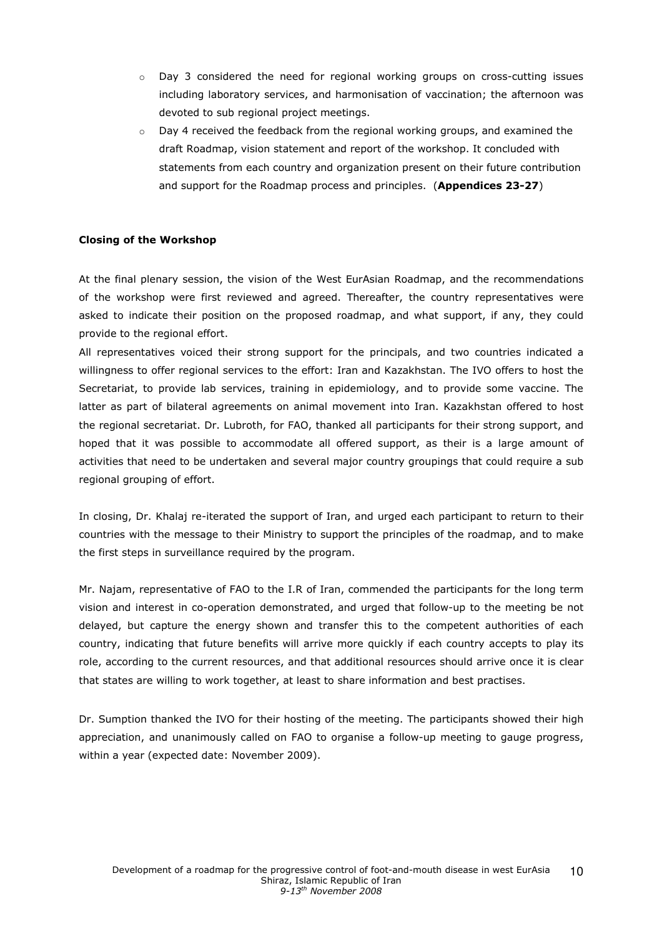- o Day 3 considered the need for regional working groups on cross-cutting issues including laboratory services, and harmonisation of vaccination; the afternoon was devoted to sub regional project meetings.
- $\circ$  Day 4 received the feedback from the regional working groups, and examined the draft Roadmap, vision statement and report of the workshop. It concluded with statements from each country and organization present on their future contribution and support for the Roadmap process and principles. (Appendices 23-27)

### Closing of the Workshop

At the final plenary session, the vision of the West EurAsian Roadmap, and the recommendations of the workshop were first reviewed and agreed. Thereafter, the country representatives were asked to indicate their position on the proposed roadmap, and what support, if any, they could provide to the regional effort.

All representatives voiced their strong support for the principals, and two countries indicated a willingness to offer regional services to the effort: Iran and Kazakhstan. The IVO offers to host the Secretariat, to provide lab services, training in epidemiology, and to provide some vaccine. The latter as part of bilateral agreements on animal movement into Iran. Kazakhstan offered to host the regional secretariat. Dr. Lubroth, for FAO, thanked all participants for their strong support, and hoped that it was possible to accommodate all offered support, as their is a large amount of activities that need to be undertaken and several major country groupings that could require a sub regional grouping of effort.

In closing, Dr. Khalaj re-iterated the support of Iran, and urged each participant to return to their countries with the message to their Ministry to support the principles of the roadmap, and to make the first steps in surveillance required by the program.

Mr. Najam, representative of FAO to the I.R of Iran, commended the participants for the long term vision and interest in co-operation demonstrated, and urged that follow-up to the meeting be not delayed, but capture the energy shown and transfer this to the competent authorities of each country, indicating that future benefits will arrive more quickly if each country accepts to play its role, according to the current resources, and that additional resources should arrive once it is clear that states are willing to work together, at least to share information and best practises.

Dr. Sumption thanked the IVO for their hosting of the meeting. The participants showed their high appreciation, and unanimously called on FAO to organise a follow-up meeting to gauge progress, within a year (expected date: November 2009).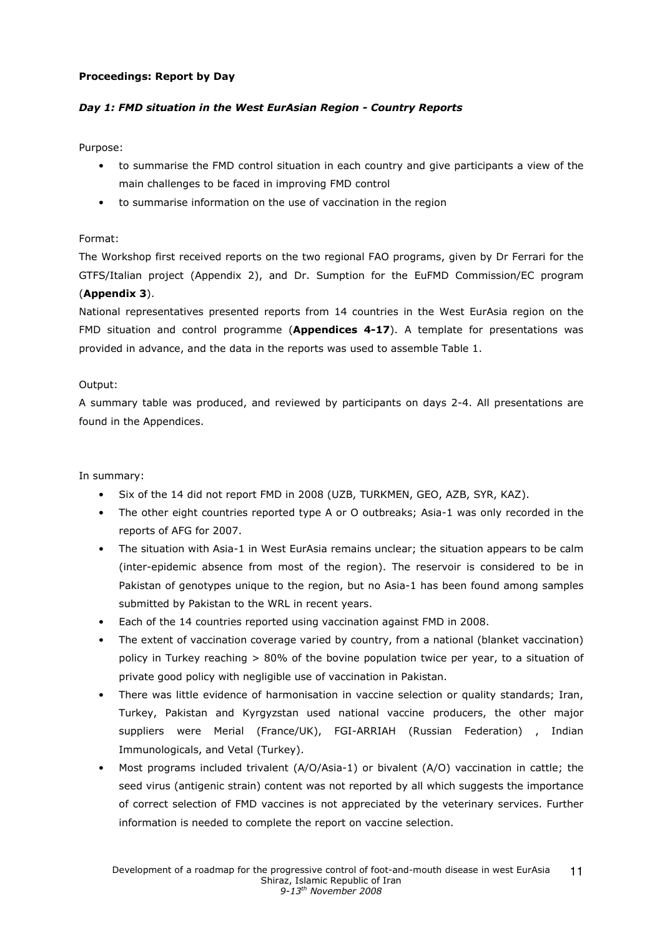### Proceedings: Report by Day

## Day 1: FMD situation in the West EurAsian Region - Country Reports

Purpose:

- to summarise the FMD control situation in each country and give participants a view of the main challenges to be faced in improving FMD control
- to summarise information on the use of vaccination in the region

### Format:

The Workshop first received reports on the two regional FAO programs, given by Dr Ferrari for the GTFS/Italian project (Appendix 2), and Dr. Sumption for the EuFMD Commission/EC program (Appendix 3).

National representatives presented reports from 14 countries in the West EurAsia region on the FMD situation and control programme (Appendices 4-17). A template for presentations was provided in advance, and the data in the reports was used to assemble Table 1.

### Output:

A summary table was produced, and reviewed by participants on days 2-4. All presentations are found in the Appendices.

## In summary:

- Six of the 14 did not report FMD in 2008 (UZB, TURKMEN, GEO, AZB, SYR, KAZ).
- The other eight countries reported type A or O outbreaks; Asia-1 was only recorded in the reports of AFG for 2007.
- The situation with Asia-1 in West EurAsia remains unclear; the situation appears to be calm (inter-epidemic absence from most of the region). The reservoir is considered to be in Pakistan of genotypes unique to the region, but no Asia-1 has been found among samples submitted by Pakistan to the WRL in recent years.
- Each of the 14 countries reported using vaccination against FMD in 2008.
- The extent of vaccination coverage varied by country, from a national (blanket vaccination) policy in Turkey reaching  $> 80\%$  of the bovine population twice per year, to a situation of private good policy with negligible use of vaccination in Pakistan.
- There was little evidence of harmonisation in vaccine selection or quality standards; Iran, Turkey, Pakistan and Kyrgyzstan used national vaccine producers, the other major suppliers were Merial (France/UK), FGI-ARRIAH (Russian Federation) , Indian Immunologicals, and Vetal (Turkey).
- Most programs included trivalent (A/O/Asia-1) or bivalent (A/O) vaccination in cattle; the seed virus (antigenic strain) content was not reported by all which suggests the importance of correct selection of FMD vaccines is not appreciated by the veterinary services. Further information is needed to complete the report on vaccine selection.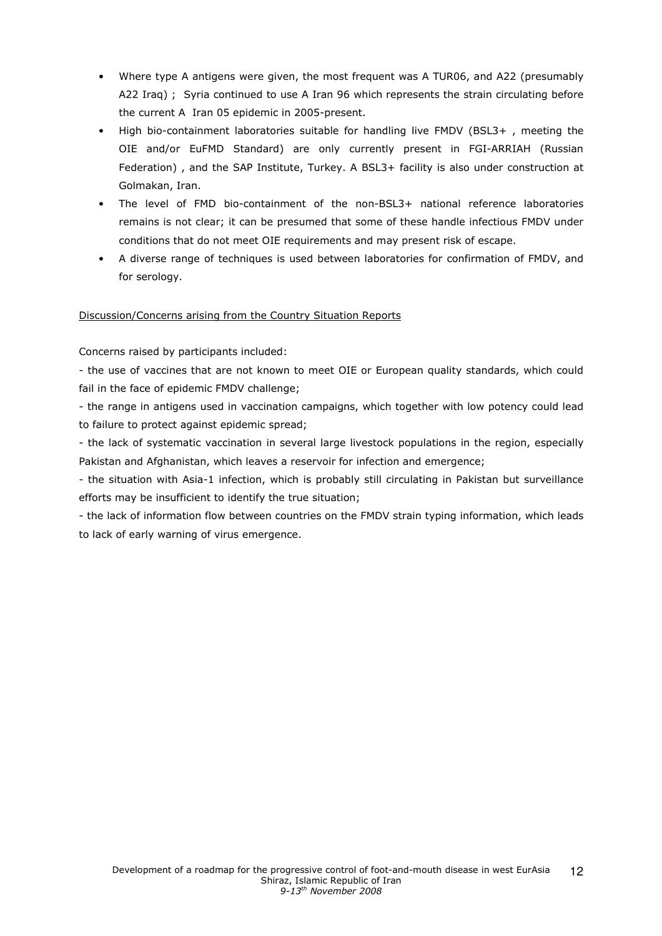- Where type A antigens were given, the most frequent was A TUR06, and A22 (presumably A22 Iraq) ; Syria continued to use A Iran 96 which represents the strain circulating before the current A Iran 05 epidemic in 2005-present.
- High bio-containment laboratories suitable for handling live FMDV (BSL3+ , meeting the OIE and/or EuFMD Standard) are only currently present in FGI-ARRIAH (Russian Federation) , and the SAP Institute, Turkey. A BSL3+ facility is also under construction at Golmakan, Iran.
- The level of FMD bio-containment of the non-BSL3+ national reference laboratories remains is not clear; it can be presumed that some of these handle infectious FMDV under conditions that do not meet OIE requirements and may present risk of escape.
- A diverse range of techniques is used between laboratories for confirmation of FMDV, and for serology.

## Discussion/Concerns arising from the Country Situation Reports

## Concerns raised by participants included:

- the use of vaccines that are not known to meet OIE or European quality standards, which could fail in the face of epidemic FMDV challenge;

- the range in antigens used in vaccination campaigns, which together with low potency could lead to failure to protect against epidemic spread;

- the lack of systematic vaccination in several large livestock populations in the region, especially Pakistan and Afghanistan, which leaves a reservoir for infection and emergence;

- the situation with Asia-1 infection, which is probably still circulating in Pakistan but surveillance efforts may be insufficient to identify the true situation;

- the lack of information flow between countries on the FMDV strain typing information, which leads to lack of early warning of virus emergence.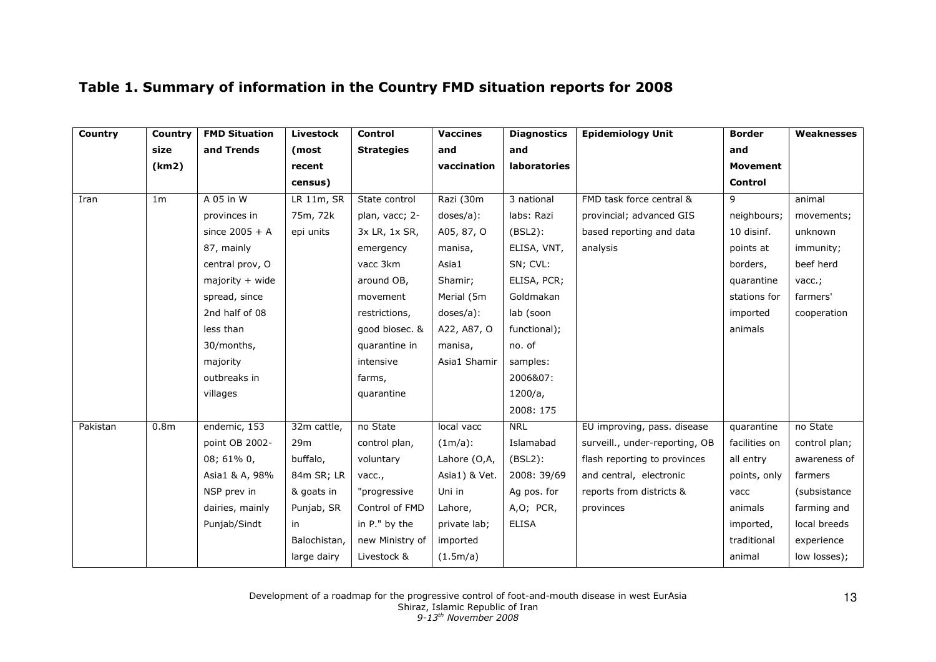| Country  | Country          | <b>FMD Situation</b> | Livestock    | Control           | <b>Vaccines</b> | <b>Diagnostics</b> | <b>Epidemiology Unit</b>       | <b>Border</b>   | Weaknesses      |
|----------|------------------|----------------------|--------------|-------------------|-----------------|--------------------|--------------------------------|-----------------|-----------------|
|          | size             | and Trends           | (most        | <b>Strategies</b> | and             | and                |                                | and             |                 |
|          | (km2)            |                      | recent       |                   | vaccination     | laboratories       |                                | <b>Movement</b> |                 |
|          |                  |                      | census)      |                   |                 |                    |                                | Control         |                 |
| Iran     | 1 <sub>m</sub>   | A 05 in W            | LR 11m, SR   | State control     | Razi (30m       | 3 national         | FMD task force central &       | 9               | animal          |
|          |                  | provinces in         | 75m, 72k     | plan, vacc; 2-    | doses/a):       | labs: Razi         | provincial; advanced GIS       | neighbours;     | movements;      |
|          |                  | since $2005 + A$     | epi units    | 3x LR, 1x SR,     | A05, 87, O      | $(BSL2)$ :         | based reporting and data       | 10 disinf.      | unknown         |
|          |                  | 87, mainly           |              | emergency         | manisa,         | ELISA, VNT,        | analysis                       | points at       | immunity;       |
|          |                  | central prov, O      |              | vacc 3km          | Asia1           | SN; CVL:           |                                | borders,        | beef herd       |
|          |                  | $majority + wide$    |              | around OB,        | Shamir;         | ELISA, PCR;        |                                | quarantine      | $\text{vacc.};$ |
|          |                  | spread, since        |              | movement          | Merial (5m      | Goldmakan          |                                | stations for    | farmers'        |
|          |                  | 2nd half of 08       |              | restrictions,     | doses/a):       | lab (soon          |                                | imported        | cooperation     |
|          |                  | less than            |              | good biosec. &    | A22, A87, O     | functional);       |                                | animals         |                 |
|          |                  | 30/months,           |              | quarantine in     | manisa,         | no. of             |                                |                 |                 |
|          |                  | majority             |              | intensive         | Asia1 Shamir    | samples:           |                                |                 |                 |
|          |                  | outbreaks in         |              | farms,            |                 | 2006&07:           |                                |                 |                 |
|          |                  | villages             |              | quarantine        |                 | 1200/a,            |                                |                 |                 |
|          |                  |                      |              |                   |                 | 2008: 175          |                                |                 |                 |
| Pakistan | 0.8 <sub>m</sub> | endemic, 153         | 32m cattle,  | no State          | local vacc      | <b>NRL</b>         | EU improving, pass. disease    | quarantine      | no State        |
|          |                  | point OB 2002-       | 29m          | control plan,     | $(1m/a)$ :      | Islamabad          | surveill., under-reporting, OB | facilities on   | control plan;   |
|          |                  | 08; 61% 0,           | buffalo,     | voluntary         | Lahore (O,A,    | $(BSL2)$ :         | flash reporting to provinces   | all entry       | awareness of    |
|          |                  | Asia1 & A, 98%       | 84m SR; LR   | vacc.,            | Asia1) & Vet.   | 2008: 39/69        | and central, electronic        | points, only    | farmers         |
|          |                  | NSP prev in          | & goats in   | "progressive      | Uni in          | Ag pos. for        | reports from districts &       | vacc            | (subsistance    |
|          |                  | dairies, mainly      | Punjab, SR   | Control of FMD    | Lahore,         | $A, O$ ; PCR,      | provinces                      | animals         | farming and     |
|          |                  | Punjab/Sindt         | in           | in P." by the     | private lab;    | <b>ELISA</b>       |                                | imported,       | local breeds    |
|          |                  |                      | Balochistan, | new Ministry of   | imported        |                    |                                | traditional     | experience      |
|          |                  |                      | large dairy  | Livestock &       | (1.5m/a)        |                    |                                | animal          | low losses);    |

# Table 1. Summary of information in the Country FMD situation reports for 2008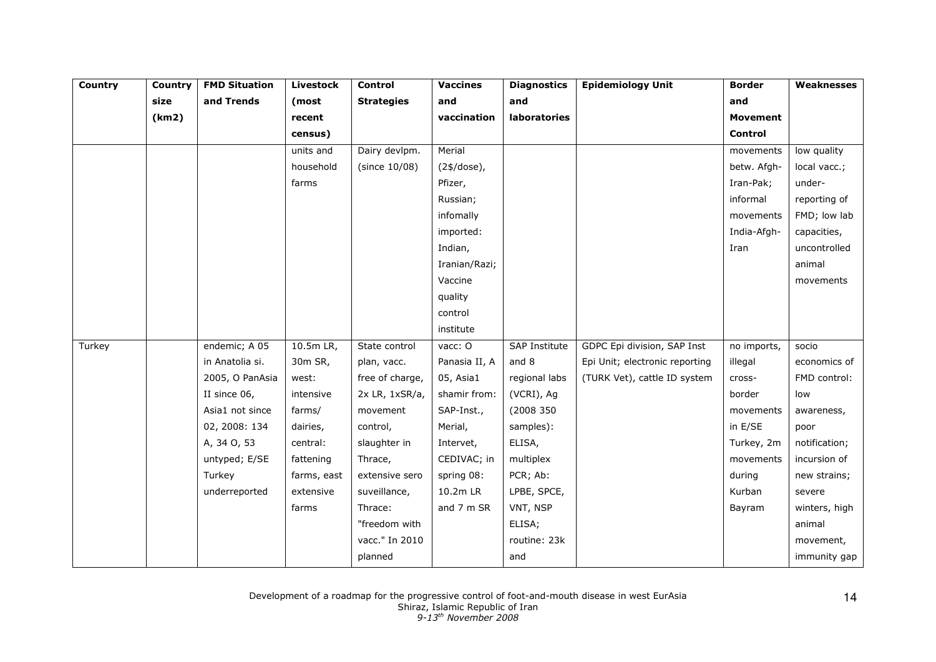| Country | Country | <b>FMD Situation</b> | <b>Livestock</b> | Control             | <b>Vaccines</b> | <b>Diagnostics</b> | <b>Epidemiology Unit</b>       | <b>Border</b>   | Weaknesses    |
|---------|---------|----------------------|------------------|---------------------|-----------------|--------------------|--------------------------------|-----------------|---------------|
|         | size    | and Trends           | (most            | <b>Strategies</b>   | and             | and                |                                | and             |               |
|         | (km2)   |                      | recent           |                     | vaccination     | laboratories       |                                | <b>Movement</b> |               |
|         |         |                      | census)          |                     |                 |                    |                                | Control         |               |
|         |         |                      | units and        | Dairy devlpm.       | Merial          |                    |                                | movements       | low quality   |
|         |         |                      | household        | (since 10/08)       | $(24/dose)$ ,   |                    |                                | betw. Afgh-     | local vacc.;  |
|         |         |                      | farms            |                     | Pfizer,         |                    |                                | Iran-Pak;       | under-        |
|         |         |                      |                  |                     | Russian;        |                    |                                | informal        | reporting of  |
|         |         |                      |                  |                     | infomally       |                    |                                | movements       | FMD; low lab  |
|         |         |                      |                  |                     | imported:       |                    |                                | India-Afgh-     | capacities,   |
|         |         |                      |                  |                     | Indian,         |                    |                                | Iran            | uncontrolled  |
|         |         |                      |                  |                     | Iranian/Razi;   |                    |                                |                 | animal        |
|         |         |                      |                  |                     | Vaccine         |                    |                                |                 | movements     |
|         |         |                      |                  |                     | quality         |                    |                                |                 |               |
|         |         |                      |                  |                     | control         |                    |                                |                 |               |
|         |         |                      |                  |                     | institute       |                    |                                |                 |               |
| Turkey  |         | endemic; A 05        | 10.5m LR,        | State control       | vacc: O         | SAP Institute      | GDPC Epi division, SAP Inst    | no imports,     | socio         |
|         |         | in Anatolia si.      | 30m SR,          | plan, vacc.         | Panasia II, A   | and 8              | Epi Unit; electronic reporting | illegal         | economics of  |
|         |         | 2005, O PanAsia      | west:            | free of charge,     | 05, Asia1       | regional labs      | (TURK Vet), cattle ID system   | cross-          | FMD control:  |
|         |         | II since 06,         | intensive        | $2x$ LR, $1xSR/a$ , | shamir from:    | (VCRI), Ag         |                                | border          | low           |
|         |         | Asia1 not since      | farms/           | movement            | SAP-Inst.,      | (2008 350          |                                | movements       | awareness,    |
|         |         | 02, 2008: 134        | dairies,         | control,            | Merial,         | samples):          |                                | in E/SE         | poor          |
|         |         | A, 34 O, 53          | central:         | slaughter in        | Intervet,       | ELISA,             |                                | Turkey, 2m      | notification; |
|         |         | untyped; E/SE        | fattening        | Thrace,             | CEDIVAC; in     | multiplex          |                                | movements       | incursion of  |
|         |         | Turkey               | farms, east      | extensive sero      | spring 08:      | PCR; Ab:           |                                | during          | new strains;  |
|         |         | underreported        | extensive        | suveillance,        | 10.2m LR        | LPBE, SPCE,        |                                | Kurban          | severe        |
|         |         |                      | farms            | Thrace:             | and 7 m SR      | VNT, NSP           |                                | Bayram          | winters, high |
|         |         |                      |                  | "freedom with       |                 | ELISA;             |                                |                 | animal        |
|         |         |                      |                  | vacc." In 2010      |                 | routine: 23k       |                                |                 | movement,     |
|         |         |                      |                  | planned             |                 | and                |                                |                 | immunity gap  |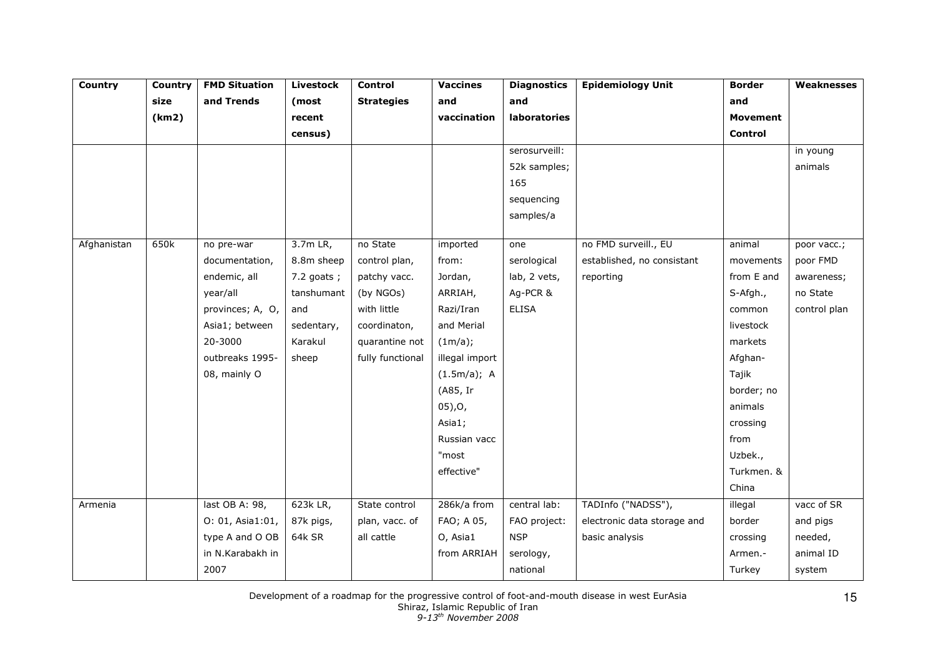| Country     | Country | <b>FMD Situation</b> | <b>Livestock</b> | Control           | <b>Vaccines</b> | <b>Diagnostics</b> | <b>Epidemiology Unit</b>    | <b>Border</b>  | Weaknesses   |
|-------------|---------|----------------------|------------------|-------------------|-----------------|--------------------|-----------------------------|----------------|--------------|
|             | size    | and Trends           | (most            | <b>Strategies</b> | and             | and                |                             | and            |              |
|             | (km2)   |                      | recent           |                   | vaccination     | laboratories       |                             | Movement       |              |
|             |         |                      | census)          |                   |                 |                    |                             | <b>Control</b> |              |
|             |         |                      |                  |                   |                 | serosurveill:      |                             |                | in young     |
|             |         |                      |                  |                   |                 | 52k samples;       |                             |                | animals      |
|             |         |                      |                  |                   |                 | 165                |                             |                |              |
|             |         |                      |                  |                   |                 | sequencing         |                             |                |              |
|             |         |                      |                  |                   |                 | samples/a          |                             |                |              |
| Afghanistan | 650k    | no pre-war           | $3.7m$ LR,       | no State          | imported        | one                | no FMD surveill., EU        | animal         | poor vacc.;  |
|             |         | documentation,       | 8.8m sheep       | control plan,     | from:           | serological        | established, no consistant  | movements      | poor FMD     |
|             |         | endemic, all         | $7.2$ goats;     | patchy vacc.      | Jordan,         | lab, 2 vets,       | reporting                   | from E and     | awareness;   |
|             |         | year/all             | tanshumant       | (by NGOs)         | ARRIAH,         | Ag-PCR &           |                             | S-Afgh.,       | no State     |
|             |         | provinces; A, O,     | and              | with little       | Razi/Iran       | <b>ELISA</b>       |                             | common         | control plan |
|             |         | Asia1; between       | sedentary,       | coordinaton,      | and Merial      |                    |                             | livestock      |              |
|             |         | 20-3000              | Karakul          | quarantine not    | (1m/a);         |                    |                             | markets        |              |
|             |         | outbreaks 1995-      | sheep            | fully functional  | illegal import  |                    |                             | Afghan-        |              |
|             |         | 08, mainly O         |                  |                   | (1.5m/a); A     |                    |                             | Tajik          |              |
|             |         |                      |                  |                   | (A85, Ir        |                    |                             | border; no     |              |
|             |         |                      |                  |                   | $05$ , O,       |                    |                             | animals        |              |
|             |         |                      |                  |                   | Asia1;          |                    |                             | crossing       |              |
|             |         |                      |                  |                   | Russian vacc    |                    |                             | from           |              |
|             |         |                      |                  |                   | "most           |                    |                             | Uzbek.,        |              |
|             |         |                      |                  |                   | effective"      |                    |                             | Turkmen. &     |              |
|             |         |                      |                  |                   |                 |                    |                             | China          |              |
| Armenia     |         | last OB A: 98,       | 623k LR,         | State control     | 286k/a from     | central lab:       | TADInfo ("NADSS"),          | illegal        | vacc of SR   |
|             |         | O: 01, Asia1:01,     | 87k pigs,        | plan, vacc. of    | FAO; A 05,      | FAO project:       | electronic data storage and | border         | and pigs     |
|             |         | type A and O OB      | 64k SR           | all cattle        | O, Asia1        | <b>NSP</b>         | basic analysis              | crossing       | needed,      |
|             |         | in N.Karabakh in     |                  |                   | from ARRIAH     | serology,          |                             | Armen.-        | animal ID    |
|             |         | 2007                 |                  |                   |                 | national           |                             | Turkey         | system       |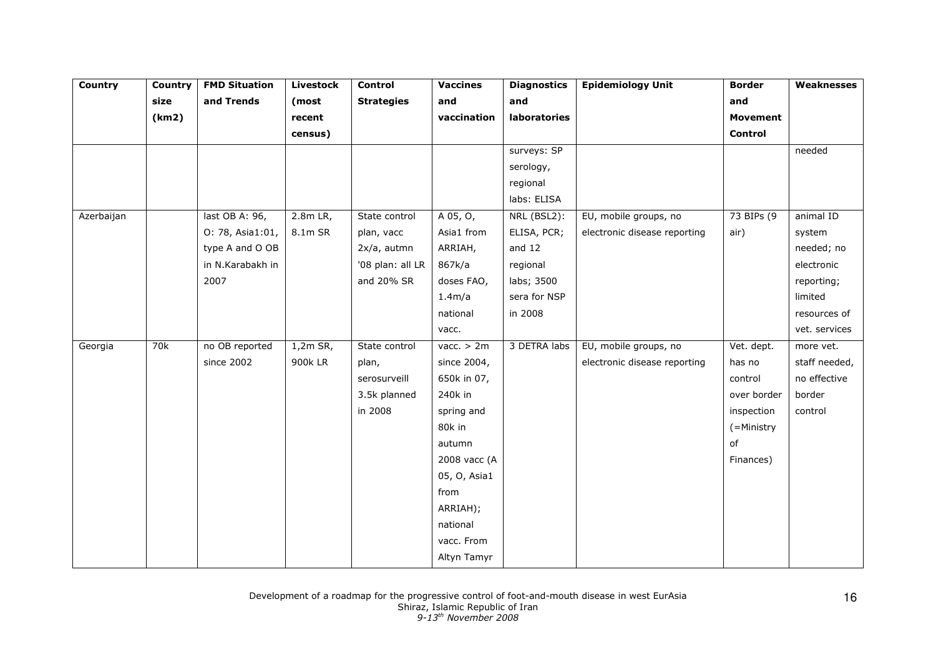| <b>Country</b> | Country | <b>FMD Situation</b> | <b>Livestock</b> | <b>Control</b>    | <b>Vaccines</b>     | <b>Diagnostics</b> | <b>Epidemiology Unit</b>     | <b>Border</b>   | <b>Weaknesses</b> |
|----------------|---------|----------------------|------------------|-------------------|---------------------|--------------------|------------------------------|-----------------|-------------------|
|                | size    | and Trends           | (most            | <b>Strategies</b> | and                 | and                |                              | and             |                   |
|                | (km2)   |                      | recent           |                   | vaccination         | laboratories       |                              | <b>Movement</b> |                   |
|                |         |                      | census)          |                   |                     |                    |                              | Control         |                   |
|                |         |                      |                  |                   |                     | surveys: SP        |                              |                 | needed            |
|                |         |                      |                  |                   |                     | serology,          |                              |                 |                   |
|                |         |                      |                  |                   |                     | regional           |                              |                 |                   |
|                |         |                      |                  |                   |                     | labs: ELISA        |                              |                 |                   |
| Azerbaijan     |         | last OB A: 96,       | 2.8m LR,         | State control     | A 05, O,            | NRL (BSL2):        | EU, mobile groups, no        | 73 BIPs (9      | animal ID         |
|                |         | O: 78, Asia1:01,     | 8.1m SR          | plan, vacc        | Asia1 from          | ELISA, PCR;        | electronic disease reporting | air)            | system            |
|                |         | type A and O OB      |                  | 2x/a, autmn       | ARRIAH,             | and $12$           |                              |                 | needed; no        |
|                |         | in N.Karabakh in     |                  | '08 plan: all LR  | 867k/a              | regional           |                              |                 | electronic        |
|                |         | 2007                 |                  | and 20% SR        | doses FAO,          | labs; 3500         |                              |                 | reporting;        |
|                |         |                      |                  |                   | 1.4 <sub>m</sub> /a | sera for NSP       |                              |                 | limited           |
|                |         |                      |                  |                   | national            | in 2008            |                              |                 | resources of      |
|                |         |                      |                  |                   | vacc.               |                    |                              |                 | vet. services     |
| Georgia        | 70k     | no OB reported       | $1,2m$ SR,       | State control     | vacc. $> 2m$        | 3 DETRA labs       | EU, mobile groups, no        | Vet. dept.      | more vet.         |
|                |         | since 2002           | 900k LR          | plan,             | since 2004,         |                    | electronic disease reporting | has no          | staff needed,     |
|                |         |                      |                  | serosurveill      | 650k in 07,         |                    |                              | control         | no effective      |
|                |         |                      |                  | 3.5k planned      | 240k in             |                    |                              | over border     | border            |
|                |         |                      |                  | in 2008           | spring and          |                    |                              | inspection      | control           |
|                |         |                      |                  |                   | 80k in              |                    |                              | (=Ministry      |                   |
|                |         |                      |                  |                   | autumn              |                    |                              | of              |                   |
|                |         |                      |                  |                   | 2008 vacc (A        |                    |                              | Finances)       |                   |
|                |         |                      |                  |                   | 05, O, Asia1        |                    |                              |                 |                   |
|                |         |                      |                  |                   | from                |                    |                              |                 |                   |
|                |         |                      |                  |                   | ARRIAH);            |                    |                              |                 |                   |
|                |         |                      |                  |                   | national            |                    |                              |                 |                   |
|                |         |                      |                  |                   | vacc. From          |                    |                              |                 |                   |
|                |         |                      |                  |                   | Altyn Tamyr         |                    |                              |                 |                   |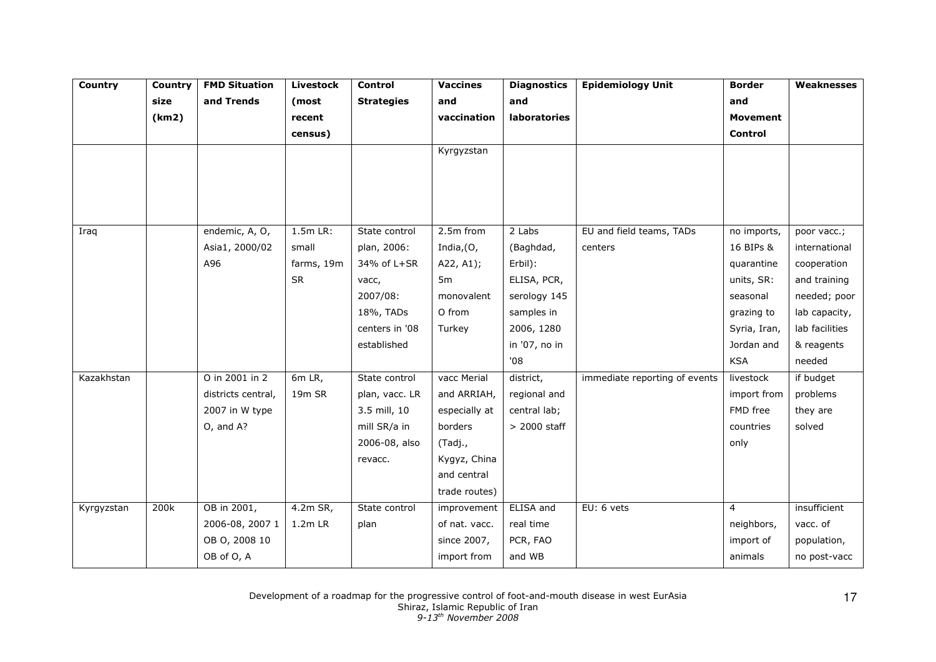| Country    | Country | <b>FMD Situation</b> | <b>Livestock</b>   | Control           | <b>Vaccines</b> | <b>Diagnostics</b> | <b>Epidemiology Unit</b>      | <b>Border</b>   | Weaknesses     |
|------------|---------|----------------------|--------------------|-------------------|-----------------|--------------------|-------------------------------|-----------------|----------------|
|            | size    | and Trends           | (most              | <b>Strategies</b> | and             | and                |                               | and             |                |
|            | (km2)   |                      | recent             |                   | vaccination     | laboratories       |                               | <b>Movement</b> |                |
|            |         |                      | census)            |                   |                 |                    |                               | <b>Control</b>  |                |
|            |         |                      |                    |                   | Kyrgyzstan      |                    |                               |                 |                |
|            |         |                      |                    |                   |                 |                    |                               |                 |                |
|            |         |                      |                    |                   |                 |                    |                               |                 |                |
|            |         |                      |                    |                   |                 |                    |                               |                 |                |
|            |         |                      |                    |                   |                 |                    |                               |                 |                |
| Iraq       |         | endemic, A, O,       | $1.5m$ LR:         | State control     | 2.5m from       | 2 Labs             | EU and field teams, TADs      | no imports,     | poor vacc.;    |
|            |         | Asia1, 2000/02       | small              | plan, 2006:       | India, (O,      | (Baghdad,          | centers                       | 16 BIPs &       | international  |
|            |         | A96                  | farms, 19m         | 34% of L+SR       | A22, A1);       | Erbil):            |                               | quarantine      | cooperation    |
|            |         |                      | <b>SR</b>          | vacc,             | 5 <sub>m</sub>  | ELISA, PCR,        |                               | units, SR:      | and training   |
|            |         |                      |                    | 2007/08:          | monovalent      | serology 145       |                               | seasonal        | needed; poor   |
|            |         |                      |                    | 18%, TADs         | O from          | samples in         |                               | grazing to      | lab capacity,  |
|            |         |                      |                    | centers in '08    | Turkey          | 2006, 1280         |                               | Syria, Iran,    | lab facilities |
|            |         |                      |                    | established       |                 | in '07, no in      |                               | Jordan and      | & reagents     |
|            |         |                      |                    |                   |                 | '08                |                               | <b>KSA</b>      | needed         |
| Kazakhstan |         | O in 2001 in 2       | $6m$ LR,           | State control     | vacc Merial     | district,          | immediate reporting of events | livestock       | if budget      |
|            |         | districts central,   | 19 <sub>m</sub> SR | plan, vacc. LR    | and ARRIAH,     | regional and       |                               | import from     | problems       |
|            |         | 2007 in W type       |                    | 3.5 mill, 10      | especially at   | central lab;       |                               | FMD free        | they are       |
|            |         | O, and A?            |                    | mill SR/a in      | borders         | $>$ 2000 staff     |                               | countries       | solved         |
|            |         |                      |                    | 2006-08, also     | (Tadj.,         |                    |                               | only            |                |
|            |         |                      |                    | revacc.           | Kygyz, China    |                    |                               |                 |                |
|            |         |                      |                    |                   | and central     |                    |                               |                 |                |
|            |         |                      |                    |                   | trade routes)   |                    |                               |                 |                |
| Kyrgyzstan | 200k    | OB in 2001,          | $4.2m$ SR,         | State control     | improvement     | ELISA and          | EU: 6 vets                    | $\overline{4}$  | insufficient   |
|            |         | 2006-08, 2007 1      | $1.2m$ LR          | plan              | of nat. vacc.   | real time          |                               | neighbors,      | vacc. of       |
|            |         | OB O, 2008 10        |                    |                   | since 2007,     | PCR, FAO           |                               | import of       | population,    |
|            |         | OB of O, A           |                    |                   | import from     | and WB             |                               | animals         | no post-vacc   |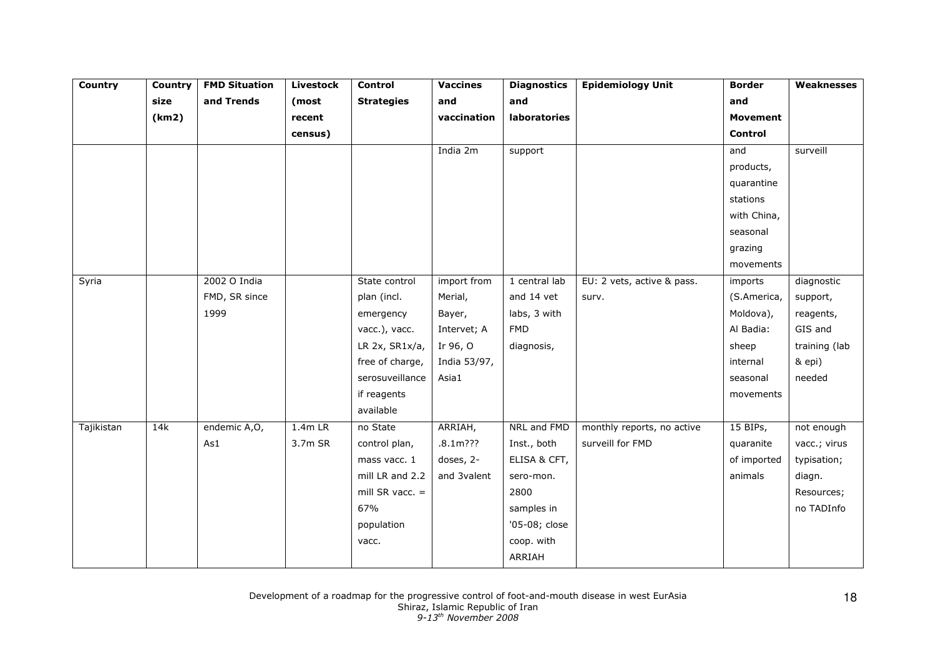| <b>Country</b> | Country | <b>FMD Situation</b> | <b>Livestock</b> | Control           | <b>Vaccines</b> | <b>Diagnostics</b> | <b>Epidemiology Unit</b>   | <b>Border</b>   | Weaknesses    |
|----------------|---------|----------------------|------------------|-------------------|-----------------|--------------------|----------------------------|-----------------|---------------|
|                | size    | and Trends           | (most            | <b>Strategies</b> | and             | and                |                            | and             |               |
|                | (km2)   |                      | recent           |                   | vaccination     | laboratories       |                            | <b>Movement</b> |               |
|                |         |                      | census)          |                   |                 |                    |                            | Control         |               |
|                |         |                      |                  |                   | India 2m        | support            |                            | and             | surveill      |
|                |         |                      |                  |                   |                 |                    |                            | products,       |               |
|                |         |                      |                  |                   |                 |                    |                            | quarantine      |               |
|                |         |                      |                  |                   |                 |                    |                            | stations        |               |
|                |         |                      |                  |                   |                 |                    |                            | with China,     |               |
|                |         |                      |                  |                   |                 |                    |                            | seasonal        |               |
|                |         |                      |                  |                   |                 |                    |                            | grazing         |               |
|                |         |                      |                  |                   |                 |                    |                            | movements       |               |
| Syria          |         | 2002 O India         |                  | State control     | import from     | 1 central lab      | EU: 2 vets, active & pass. | imports         | diagnostic    |
|                |         | FMD, SR since        |                  | plan (incl.       | Merial,         | and 14 vet         | surv.                      | (S.America,     | support,      |
|                |         | 1999                 |                  | emergency         | Bayer,          | labs, 3 with       |                            | Moldova),       | reagents,     |
|                |         |                      |                  | vacc.), vacc.     | Intervet; A     | <b>FMD</b>         |                            | Al Badia:       | GIS and       |
|                |         |                      |                  | LR 2x, SR1x/a,    | Ir 96, O        | diagnosis,         |                            | sheep           | training (lab |
|                |         |                      |                  | free of charge,   | India 53/97,    |                    |                            | internal        | & epi)        |
|                |         |                      |                  | serosuveillance   | Asia1           |                    |                            | seasonal        | needed        |
|                |         |                      |                  | if reagents       |                 |                    |                            | movements       |               |
|                |         |                      |                  | available         |                 |                    |                            |                 |               |
| Tajikistan     | 14k     | endemic A,O,         | $1.4m$ LR        | no State          | ARRIAH,         | NRL and FMD        | monthly reports, no active | 15 BIPs,        | not enough    |
|                |         | As1                  | 3.7m SR          | control plan,     | $.8.1m$ ??      | Inst., both        | surveill for FMD           | quaranite       | vacc.; virus  |
|                |         |                      |                  | mass vacc. 1      | doses, 2-       | ELISA & CFT,       |                            | of imported     | typisation;   |
|                |         |                      |                  | mill LR and 2.2   | and 3valent     | sero-mon.          |                            | animals         | diagn.        |
|                |         |                      |                  | mill SR vacc. $=$ |                 | 2800               |                            |                 | Resources;    |
|                |         |                      |                  | 67%               |                 | samples in         |                            |                 | no TADInfo    |
|                |         |                      |                  | population        |                 | '05-08; close      |                            |                 |               |
|                |         |                      |                  | vacc.             |                 | coop. with         |                            |                 |               |
|                |         |                      |                  |                   |                 | ARRIAH             |                            |                 |               |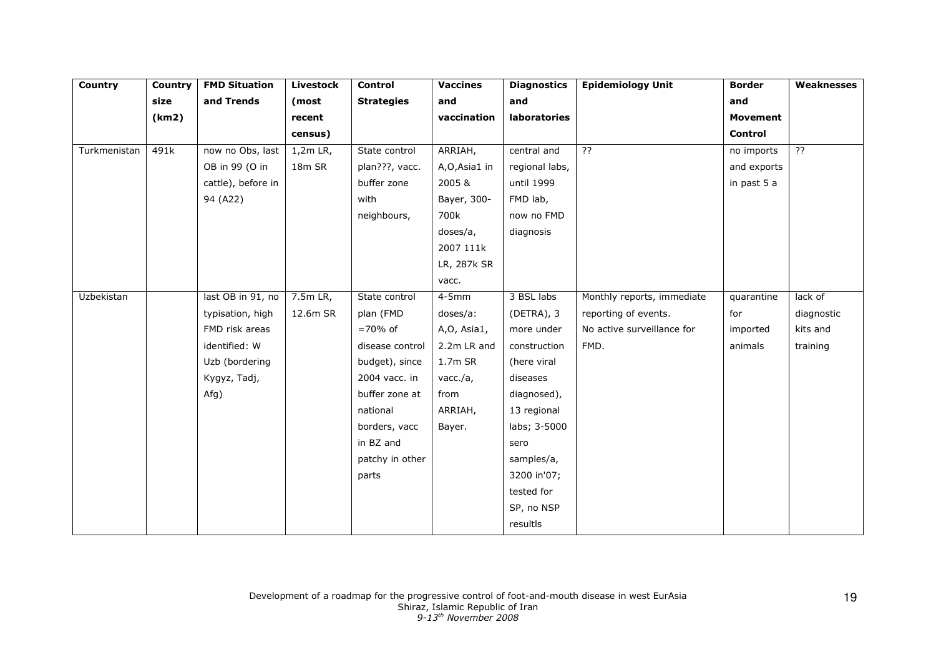| Country      | Country | <b>FMD Situation</b> | <b>Livestock</b> | Control           | <b>Vaccines</b> | <b>Diagnostics</b> | <b>Epidemiology Unit</b>   | <b>Border</b>   | Weaknesses     |
|--------------|---------|----------------------|------------------|-------------------|-----------------|--------------------|----------------------------|-----------------|----------------|
|              | size    | and Trends           | (most            | <b>Strategies</b> | and             | and                |                            | and             |                |
|              | (km2)   |                      | recent           |                   | vaccination     | laboratories       |                            | <b>Movement</b> |                |
|              |         |                      | census)          |                   |                 |                    |                            | Control         |                |
| Turkmenistan | 491k    | now no Obs, last     | $1,2m$ LR,       | State control     | ARRIAH,         | central and        | $\overline{?}$             | no imports      | $\overline{?}$ |
|              |         | OB in 99 (O in       | 18m SR           | plan???, vacc.    | A,O,Asia1 in    | regional labs,     |                            | and exports     |                |
|              |         | cattle), before in   |                  | buffer zone       | 2005 &          | until 1999         |                            | in past 5 a     |                |
|              |         | 94 (A22)             |                  | with              | Bayer, 300-     | FMD lab,           |                            |                 |                |
|              |         |                      |                  | neighbours,       | 700k            | now no FMD         |                            |                 |                |
|              |         |                      |                  |                   | doses/a,        | diagnosis          |                            |                 |                |
|              |         |                      |                  |                   | 2007 111k       |                    |                            |                 |                |
|              |         |                      |                  |                   | LR, 287k SR     |                    |                            |                 |                |
|              |         |                      |                  |                   | vacc.           |                    |                            |                 |                |
| Uzbekistan   |         | last OB in 91, no    | $7.5m$ LR,       | State control     | $4-5mm$         | 3 BSL labs         | Monthly reports, immediate | quarantine      | lack of        |
|              |         | typisation, high     | 12.6m SR         | plan (FMD         | doses/a:        | $(DETRA)$ , 3      | reporting of events.       | for             | diagnostic     |
|              |         | FMD risk areas       |                  | $=70\%$ of        | A,O, Asia1,     | more under         | No active surveillance for | imported        | kits and       |
|              |         | identified: W        |                  | disease control   | 2.2m LR and     | construction       | FMD.                       | animals         | training       |
|              |         | Uzb (bordering       |                  | budget), since    | 1.7m SR         | (here viral        |                            |                 |                |
|              |         | Kygyz, Tadj,         |                  | 2004 vacc. in     | vacc./a,        | diseases           |                            |                 |                |
|              |         | Afg)                 |                  | buffer zone at    | from            | diagnosed),        |                            |                 |                |
|              |         |                      |                  | national          | ARRIAH,         | 13 regional        |                            |                 |                |
|              |         |                      |                  | borders, vacc     | Bayer.          | labs; 3-5000       |                            |                 |                |
|              |         |                      |                  | in BZ and         |                 | sero               |                            |                 |                |
|              |         |                      |                  | patchy in other   |                 | samples/a,         |                            |                 |                |
|              |         |                      |                  | parts             |                 | 3200 in'07;        |                            |                 |                |
|              |         |                      |                  |                   |                 | tested for         |                            |                 |                |
|              |         |                      |                  |                   |                 | SP, no NSP         |                            |                 |                |
|              |         |                      |                  |                   |                 | resultls           |                            |                 |                |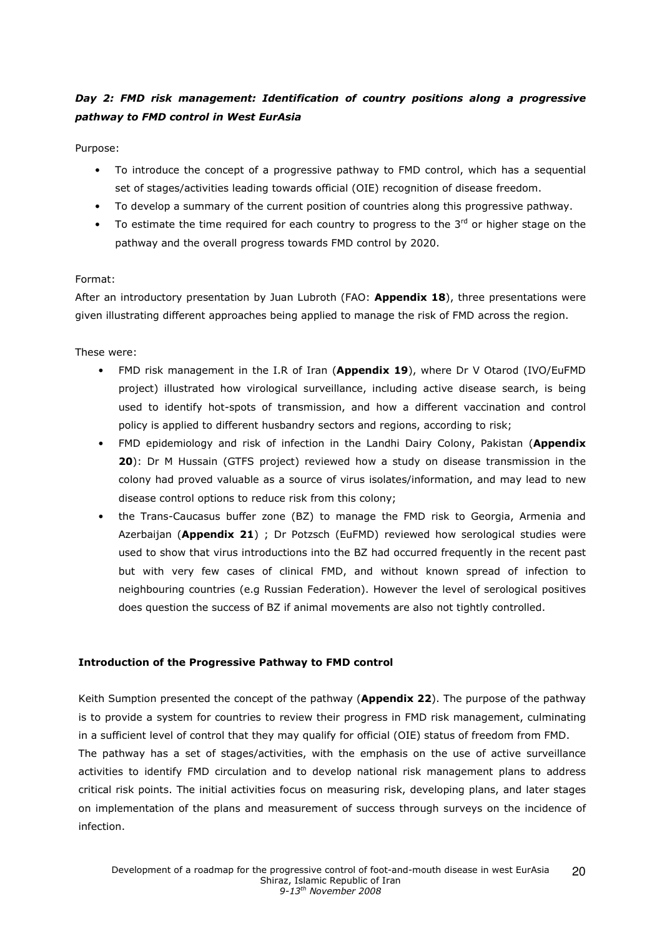# Day 2: FMD risk management: Identification of country positions along a progressive pathway to FMD control in West EurAsia

Purpose:

- To introduce the concept of a progressive pathway to FMD control, which has a sequential set of stages/activities leading towards official (OIE) recognition of disease freedom.
- To develop a summary of the current position of countries along this progressive pathway.
- To estimate the time required for each country to progress to the  $3<sup>rd</sup>$  or higher stage on the pathway and the overall progress towards FMD control by 2020.

### Format:

After an introductory presentation by Juan Lubroth (FAO: Appendix 18), three presentations were given illustrating different approaches being applied to manage the risk of FMD across the region.

These were:

- FMD risk management in the I.R of Iran (Appendix 19), where Dr V Otarod (IVO/EuFMD project) illustrated how virological surveillance, including active disease search, is being used to identify hot-spots of transmission, and how a different vaccination and control policy is applied to different husbandry sectors and regions, according to risk;
- FMD epidemiology and risk of infection in the Landhi Dairy Colony, Pakistan (Appendix 20): Dr M Hussain (GTFS project) reviewed how a study on disease transmission in the colony had proved valuable as a source of virus isolates/information, and may lead to new disease control options to reduce risk from this colony;
- the Trans-Caucasus buffer zone (BZ) to manage the FMD risk to Georgia, Armenia and Azerbaijan (Appendix 21) ; Dr Potzsch (EuFMD) reviewed how serological studies were used to show that virus introductions into the BZ had occurred frequently in the recent past but with very few cases of clinical FMD, and without known spread of infection to neighbouring countries (e.g Russian Federation). However the level of serological positives does question the success of BZ if animal movements are also not tightly controlled.

#### Introduction of the Progressive Pathway to FMD control

Keith Sumption presented the concept of the pathway (Appendix 22). The purpose of the pathway is to provide a system for countries to review their progress in FMD risk management, culminating in a sufficient level of control that they may qualify for official (OIE) status of freedom from FMD.

The pathway has a set of stages/activities, with the emphasis on the use of active surveillance activities to identify FMD circulation and to develop national risk management plans to address critical risk points. The initial activities focus on measuring risk, developing plans, and later stages on implementation of the plans and measurement of success through surveys on the incidence of infection.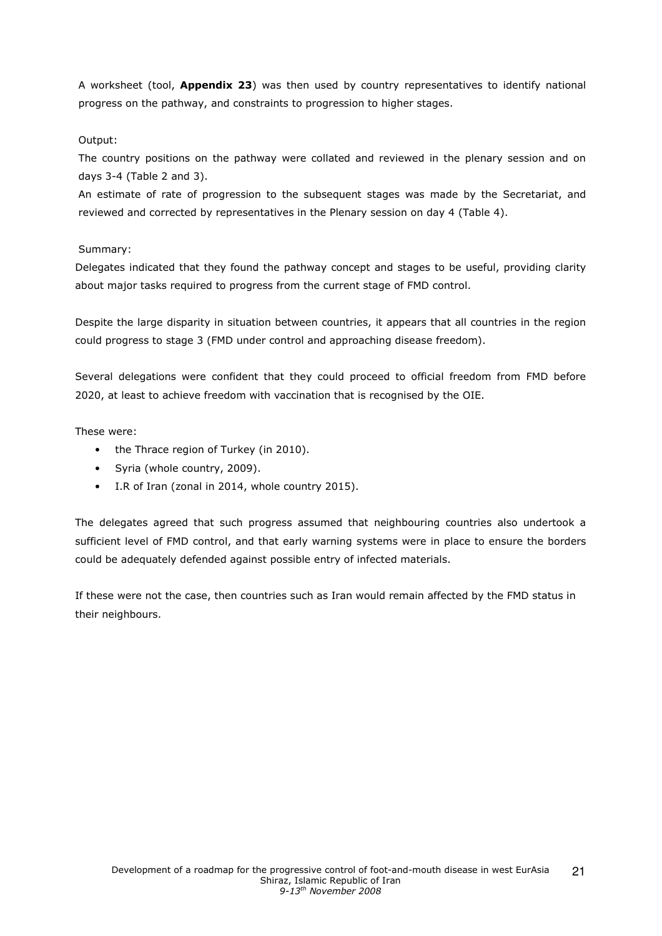A worksheet (tool, Appendix 23) was then used by country representatives to identify national progress on the pathway, and constraints to progression to higher stages.

### Output:

The country positions on the pathway were collated and reviewed in the plenary session and on days 3-4 (Table 2 and 3).

An estimate of rate of progression to the subsequent stages was made by the Secretariat, and reviewed and corrected by representatives in the Plenary session on day 4 (Table 4).

### Summary:

Delegates indicated that they found the pathway concept and stages to be useful, providing clarity about major tasks required to progress from the current stage of FMD control.

Despite the large disparity in situation between countries, it appears that all countries in the region could progress to stage 3 (FMD under control and approaching disease freedom).

Several delegations were confident that they could proceed to official freedom from FMD before 2020, at least to achieve freedom with vaccination that is recognised by the OIE.

These were:

- the Thrace region of Turkey (in 2010).
- Syria (whole country, 2009).
- I.R of Iran (zonal in 2014, whole country 2015).

The delegates agreed that such progress assumed that neighbouring countries also undertook a sufficient level of FMD control, and that early warning systems were in place to ensure the borders could be adequately defended against possible entry of infected materials.

If these were not the case, then countries such as Iran would remain affected by the FMD status in their neighbours.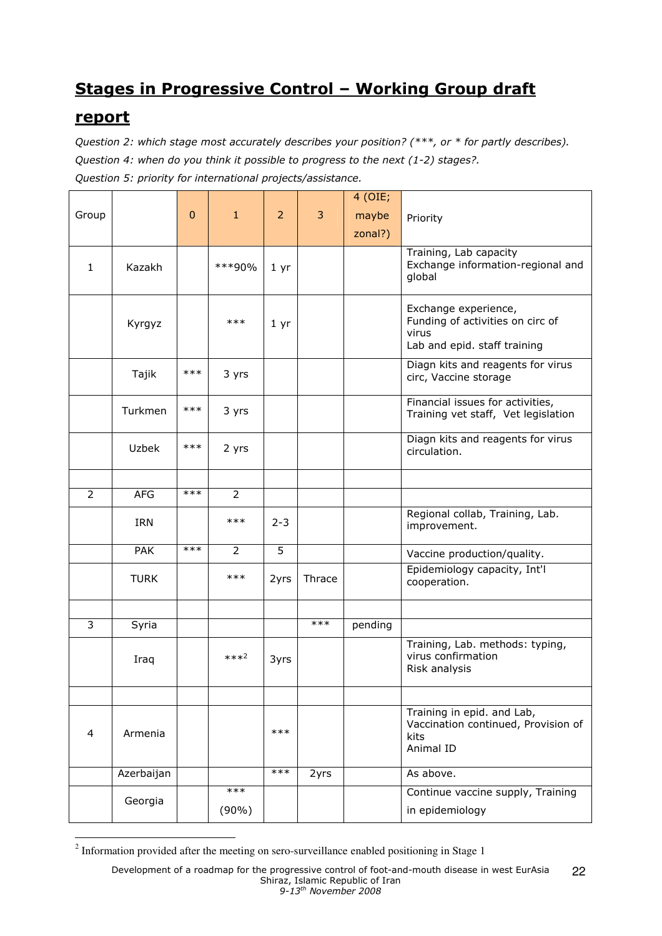# Stages in Progressive Control – Working Group draft

# report

Question 2: which stage most accurately describes your position? (\*\*\*, or \* for partly describes). Question 4: when do you think it possible to progress to the next (1-2) stages?. Question 5: priority for international projects/assistance.

| $\overline{2}$<br>3<br>Group<br>$\mathbf{0}$<br>$\mathbf{1}$<br>maybe<br>Priority<br>zonal?)<br>Training, Lab capacity<br>Exchange information-regional and<br>***90%<br>Kazakh<br>$\mathbf{1}$<br>$1 \, yr$<br>global<br>Exchange experience,<br>Funding of activities on circ of<br>$***$<br>Kyrgyz<br>$1 \, yr$<br>virus<br>Lab and epid. staff training<br>Diagn kits and reagents for virus<br>$***$<br>Tajik<br>3 yrs<br>circ, Vaccine storage<br>Financial issues for activities,<br>$***$<br>Turkmen<br>3 yrs<br>Training vet staff, Vet legislation<br>Diagn kits and reagents for virus<br>$***$<br><b>Uzbek</b><br>2 yrs<br>circulation.<br>$***$<br>$\overline{2}$<br>$\overline{2}$<br><b>AFG</b><br>Regional collab, Training, Lab.<br>$***$<br>$2 - 3$<br>IRN<br>improvement.<br>$***$<br>$\overline{5}$<br><b>PAK</b><br>$\overline{2}$<br>Vaccine production/quality.<br>Epidemiology capacity, Int'l<br>$***$<br><b>TURK</b><br>2yrs<br>Thrace<br>cooperation.<br>3<br>$***$<br>pending<br>Syria<br>Training, Lab. methods: typing,<br>virus confirmation<br>$***2$<br>Iraq<br>3yrs<br>Risk analysis<br>Training in epid. and Lab,<br>Vaccination continued, Provision of<br>$***$<br>4<br>Armenia<br>kits<br>Animal ID<br>$***$<br>As above.<br>Azerbaijan<br>2yrs<br>$***$<br>Continue vaccine supply, Training<br>Georgia<br>in epidemiology<br>$(90\%)$ |  |  |  | 4 (OIE; |  |
|-------------------------------------------------------------------------------------------------------------------------------------------------------------------------------------------------------------------------------------------------------------------------------------------------------------------------------------------------------------------------------------------------------------------------------------------------------------------------------------------------------------------------------------------------------------------------------------------------------------------------------------------------------------------------------------------------------------------------------------------------------------------------------------------------------------------------------------------------------------------------------------------------------------------------------------------------------------------------------------------------------------------------------------------------------------------------------------------------------------------------------------------------------------------------------------------------------------------------------------------------------------------------------------------------------------------------------------------------------------------------------|--|--|--|---------|--|
|                                                                                                                                                                                                                                                                                                                                                                                                                                                                                                                                                                                                                                                                                                                                                                                                                                                                                                                                                                                                                                                                                                                                                                                                                                                                                                                                                                               |  |  |  |         |  |
|                                                                                                                                                                                                                                                                                                                                                                                                                                                                                                                                                                                                                                                                                                                                                                                                                                                                                                                                                                                                                                                                                                                                                                                                                                                                                                                                                                               |  |  |  |         |  |
|                                                                                                                                                                                                                                                                                                                                                                                                                                                                                                                                                                                                                                                                                                                                                                                                                                                                                                                                                                                                                                                                                                                                                                                                                                                                                                                                                                               |  |  |  |         |  |
|                                                                                                                                                                                                                                                                                                                                                                                                                                                                                                                                                                                                                                                                                                                                                                                                                                                                                                                                                                                                                                                                                                                                                                                                                                                                                                                                                                               |  |  |  |         |  |
|                                                                                                                                                                                                                                                                                                                                                                                                                                                                                                                                                                                                                                                                                                                                                                                                                                                                                                                                                                                                                                                                                                                                                                                                                                                                                                                                                                               |  |  |  |         |  |
|                                                                                                                                                                                                                                                                                                                                                                                                                                                                                                                                                                                                                                                                                                                                                                                                                                                                                                                                                                                                                                                                                                                                                                                                                                                                                                                                                                               |  |  |  |         |  |
|                                                                                                                                                                                                                                                                                                                                                                                                                                                                                                                                                                                                                                                                                                                                                                                                                                                                                                                                                                                                                                                                                                                                                                                                                                                                                                                                                                               |  |  |  |         |  |
|                                                                                                                                                                                                                                                                                                                                                                                                                                                                                                                                                                                                                                                                                                                                                                                                                                                                                                                                                                                                                                                                                                                                                                                                                                                                                                                                                                               |  |  |  |         |  |
|                                                                                                                                                                                                                                                                                                                                                                                                                                                                                                                                                                                                                                                                                                                                                                                                                                                                                                                                                                                                                                                                                                                                                                                                                                                                                                                                                                               |  |  |  |         |  |
|                                                                                                                                                                                                                                                                                                                                                                                                                                                                                                                                                                                                                                                                                                                                                                                                                                                                                                                                                                                                                                                                                                                                                                                                                                                                                                                                                                               |  |  |  |         |  |
|                                                                                                                                                                                                                                                                                                                                                                                                                                                                                                                                                                                                                                                                                                                                                                                                                                                                                                                                                                                                                                                                                                                                                                                                                                                                                                                                                                               |  |  |  |         |  |
|                                                                                                                                                                                                                                                                                                                                                                                                                                                                                                                                                                                                                                                                                                                                                                                                                                                                                                                                                                                                                                                                                                                                                                                                                                                                                                                                                                               |  |  |  |         |  |
|                                                                                                                                                                                                                                                                                                                                                                                                                                                                                                                                                                                                                                                                                                                                                                                                                                                                                                                                                                                                                                                                                                                                                                                                                                                                                                                                                                               |  |  |  |         |  |
|                                                                                                                                                                                                                                                                                                                                                                                                                                                                                                                                                                                                                                                                                                                                                                                                                                                                                                                                                                                                                                                                                                                                                                                                                                                                                                                                                                               |  |  |  |         |  |
|                                                                                                                                                                                                                                                                                                                                                                                                                                                                                                                                                                                                                                                                                                                                                                                                                                                                                                                                                                                                                                                                                                                                                                                                                                                                                                                                                                               |  |  |  |         |  |
|                                                                                                                                                                                                                                                                                                                                                                                                                                                                                                                                                                                                                                                                                                                                                                                                                                                                                                                                                                                                                                                                                                                                                                                                                                                                                                                                                                               |  |  |  |         |  |
|                                                                                                                                                                                                                                                                                                                                                                                                                                                                                                                                                                                                                                                                                                                                                                                                                                                                                                                                                                                                                                                                                                                                                                                                                                                                                                                                                                               |  |  |  |         |  |
|                                                                                                                                                                                                                                                                                                                                                                                                                                                                                                                                                                                                                                                                                                                                                                                                                                                                                                                                                                                                                                                                                                                                                                                                                                                                                                                                                                               |  |  |  |         |  |
|                                                                                                                                                                                                                                                                                                                                                                                                                                                                                                                                                                                                                                                                                                                                                                                                                                                                                                                                                                                                                                                                                                                                                                                                                                                                                                                                                                               |  |  |  |         |  |

<sup>2</sup> Information provided after the meeting on sero-surveillance enabled positioning in Stage 1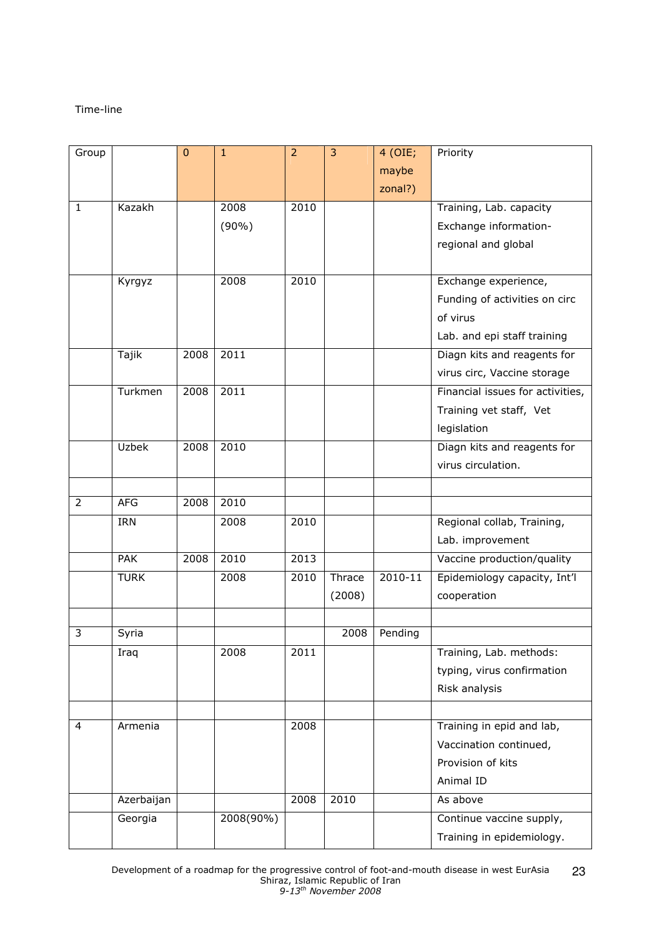### Time-line

| Group          |             | $\mathbf 0$ | $\mathbf{1}$ | $\overline{2}$ | 3      | 4 (OIE;<br>maybe | Priority                         |
|----------------|-------------|-------------|--------------|----------------|--------|------------------|----------------------------------|
|                |             |             |              |                |        | zonal?)          |                                  |
| $\mathbf{1}$   | Kazakh      |             | 2008         | 2010           |        |                  | Training, Lab. capacity          |
|                |             |             | $(90\%)$     |                |        |                  | Exchange information-            |
|                |             |             |              |                |        |                  | regional and global              |
|                |             |             |              |                |        |                  |                                  |
|                | Kyrgyz      |             | 2008         | 2010           |        |                  | Exchange experience,             |
|                |             |             |              |                |        |                  | Funding of activities on circ    |
|                |             |             |              |                |        |                  | of virus                         |
|                |             |             |              |                |        |                  | Lab. and epi staff training      |
|                | Tajik       | 2008        | 2011         |                |        |                  | Diagn kits and reagents for      |
|                |             |             |              |                |        |                  | virus circ, Vaccine storage      |
|                | Turkmen     | 2008        | 2011         |                |        |                  | Financial issues for activities, |
|                |             |             |              |                |        |                  | Training vet staff, Vet          |
|                |             |             |              |                |        |                  | legislation                      |
|                | Uzbek       | 2008        | 2010         |                |        |                  | Diagn kits and reagents for      |
|                |             |             |              |                |        |                  | virus circulation.               |
|                |             |             |              |                |        |                  |                                  |
| $\overline{2}$ | <b>AFG</b>  | 2008        | 2010         |                |        |                  |                                  |
|                | IRN         |             | 2008         | 2010           |        |                  | Regional collab, Training,       |
|                |             |             |              |                |        |                  | Lab. improvement                 |
|                | <b>PAK</b>  | 2008        | 2010         | 2013           |        |                  | Vaccine production/quality       |
|                | <b>TURK</b> |             | 2008         | 2010           | Thrace | 2010-11          | Epidemiology capacity, Int'l     |
|                |             |             |              |                | (2008) |                  | cooperation                      |
|                |             |             |              |                |        |                  |                                  |
| 3              | Syria       |             |              |                | 2008   | Pending          |                                  |
|                | Iraq        |             | 2008         | 2011           |        |                  | Training, Lab. methods:          |
|                |             |             |              |                |        |                  | typing, virus confirmation       |
|                |             |             |              |                |        |                  | Risk analysis                    |
|                |             |             |              |                |        |                  |                                  |
| 4              | Armenia     |             |              | 2008           |        |                  | Training in epid and lab,        |
|                |             |             |              |                |        |                  | Vaccination continued,           |
|                |             |             |              |                |        |                  | Provision of kits                |
|                |             |             |              |                |        |                  | Animal ID                        |
|                | Azerbaijan  |             |              | 2008           | 2010   |                  | As above                         |
|                | Georgia     |             | 2008(90%)    |                |        |                  | Continue vaccine supply,         |
|                |             |             |              |                |        |                  | Training in epidemiology.        |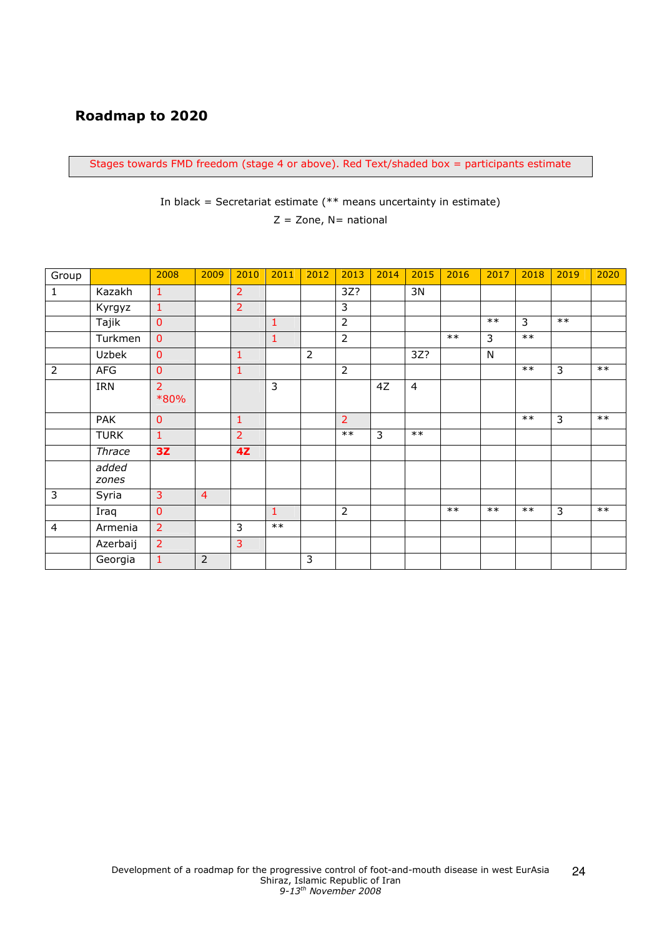# Roadmap to 2020

Stages towards FMD freedom (stage 4 or above). Red Text/shaded box = participants estimate

In black = Secretariat estimate  $(**$  means uncertainty in estimate)

 $Z =$  Zone, N= national

| Group          |                | 2008                   | 2009           | 2010           | 2011         | 2012           | 2013           | 2014 | 2015           | 2016  | 2017  | 2018  | 2019  | 2020 |
|----------------|----------------|------------------------|----------------|----------------|--------------|----------------|----------------|------|----------------|-------|-------|-------|-------|------|
| $\mathbf{1}$   | Kazakh         | $\mathbf{1}$           |                | $\overline{2}$ |              |                | 3Z?            |      | 3N             |       |       |       |       |      |
|                | Kyrgyz         | $\mathbf{1}$           |                | $\overline{2}$ |              |                | 3              |      |                |       |       |       |       |      |
|                | Tajik          | $\mathbf 0$            |                |                | $\mathbf{1}$ |                | $\overline{2}$ |      |                |       | $***$ | 3     | $***$ |      |
|                | Turkmen        | $\mathbf 0$            |                |                | $\mathbf{1}$ |                | $\overline{2}$ |      |                | $***$ | 3     | $***$ |       |      |
|                | Uzbek          | $\overline{0}$         |                | $\mathbf{1}$   |              | $\overline{2}$ |                |      | 3Z?            |       | N     |       |       |      |
| 2              | <b>AFG</b>     | $\mathbf 0$            |                | $\mathbf{1}$   |              |                | $\overline{2}$ |      |                |       |       | $***$ | 3     | $**$ |
|                | IRN            | $\overline{2}$<br>*80% |                |                | 3            |                |                | 4Z   | $\overline{4}$ |       |       |       |       |      |
|                | <b>PAK</b>     | $\mathbf 0$            |                | $\mathbf{1}$   |              |                | $\overline{2}$ |      |                |       |       | $***$ | 3     | $**$ |
|                | <b>TURK</b>    | $\mathbf{1}$           |                | $\overline{2}$ |              |                | $***$          | 3    | $**$           |       |       |       |       |      |
|                | Thrace         | 3Z                     |                | 4Z             |              |                |                |      |                |       |       |       |       |      |
|                | added<br>zones |                        |                |                |              |                |                |      |                |       |       |       |       |      |
| $\overline{3}$ | Syria          | 3                      | $\overline{4}$ |                |              |                |                |      |                |       |       |       |       |      |
|                | Iraq           | $\overline{0}$         |                |                | $\mathbf{1}$ |                | $\overline{2}$ |      |                | $**$  | $***$ | $**$  | 3     | $**$ |
| 4              | Armenia        | $\overline{2}$         |                | 3              | $***$        |                |                |      |                |       |       |       |       |      |
|                | Azerbaij       | $\overline{2}$         |                | $\overline{3}$ |              |                |                |      |                |       |       |       |       |      |
|                | Georgia        | $\mathbf 1$            | $\overline{2}$ |                |              | 3              |                |      |                |       |       |       |       |      |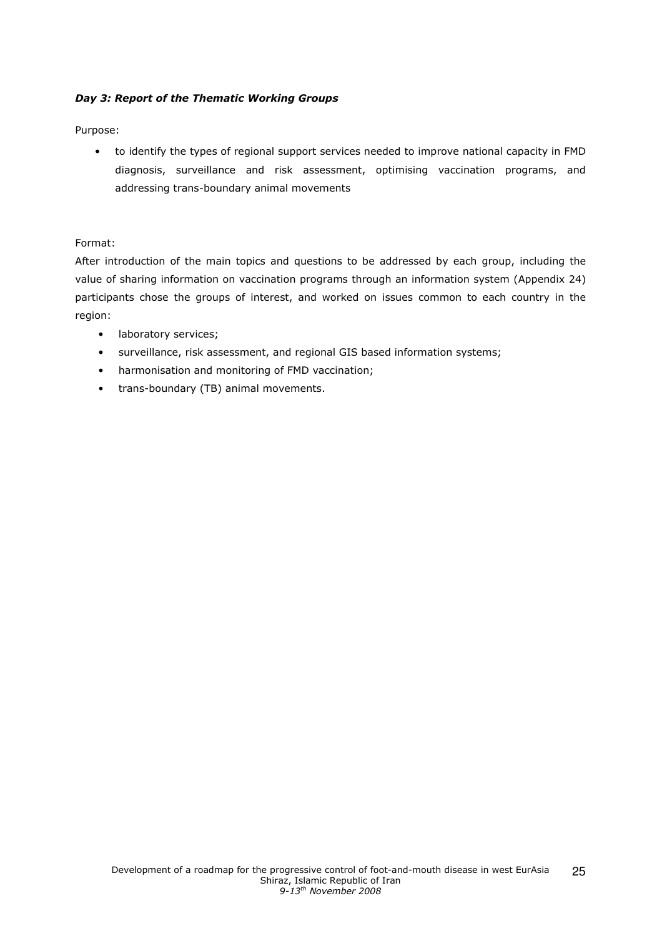### Day 3: Report of the Thematic Working Groups

Purpose:

• to identify the types of regional support services needed to improve national capacity in FMD diagnosis, surveillance and risk assessment, optimising vaccination programs, and addressing trans-boundary animal movements

### Format:

After introduction of the main topics and questions to be addressed by each group, including the value of sharing information on vaccination programs through an information system (Appendix 24) participants chose the groups of interest, and worked on issues common to each country in the region:

- laboratory services;
- surveillance, risk assessment, and regional GIS based information systems;
- harmonisation and monitoring of FMD vaccination;
- trans-boundary (TB) animal movements.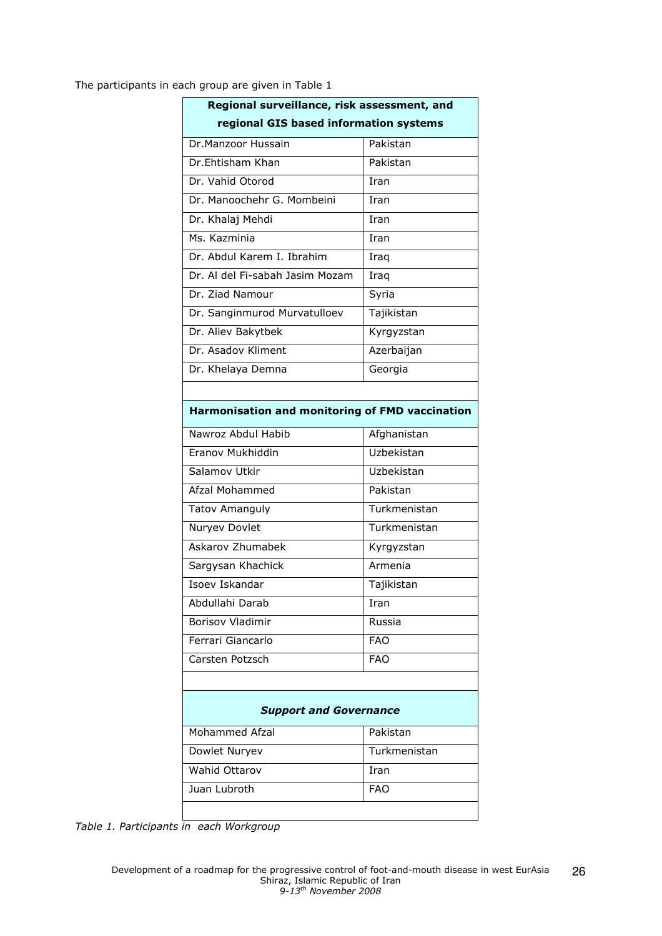The participants in each group are given in Table 1

|                                                 | Regional surveillance, risk assessment, and |  |  |  |  |  |  |  |  |
|-------------------------------------------------|---------------------------------------------|--|--|--|--|--|--|--|--|
| regional GIS based information systems          |                                             |  |  |  |  |  |  |  |  |
| Dr.Manzoor Hussain                              | Pakistan                                    |  |  |  |  |  |  |  |  |
| Dr.Ehtisham Khan                                | Pakistan                                    |  |  |  |  |  |  |  |  |
| Dr. Vahid Otorod                                | Iran                                        |  |  |  |  |  |  |  |  |
| Dr. Manoochehr G. Mombeini                      | Iran                                        |  |  |  |  |  |  |  |  |
| Dr. Khalaj Mehdi                                | Iran                                        |  |  |  |  |  |  |  |  |
| Ms. Kazminia                                    | Iran                                        |  |  |  |  |  |  |  |  |
| Dr. Abdul Karem I. Ibrahim                      | Iraq                                        |  |  |  |  |  |  |  |  |
| Dr. Al del Fi-sabah Jasim Mozam                 | Iraq                                        |  |  |  |  |  |  |  |  |
| Dr. Ziad Namour                                 | Syria                                       |  |  |  |  |  |  |  |  |
| Dr. Sanginmurod Murvatulloev                    | Tajikistan                                  |  |  |  |  |  |  |  |  |
| Dr. Aliev Bakytbek                              | Kyrgyzstan                                  |  |  |  |  |  |  |  |  |
| Dr. Asadov Kliment                              | Azerbaijan                                  |  |  |  |  |  |  |  |  |
| Dr. Khelaya Demna                               | Georgia                                     |  |  |  |  |  |  |  |  |
|                                                 |                                             |  |  |  |  |  |  |  |  |
| Harmonisation and monitoring of FMD vaccination |                                             |  |  |  |  |  |  |  |  |
| Nawroz Abdul Habib                              | Afghanistan                                 |  |  |  |  |  |  |  |  |
| Eranov Mukhiddin                                | Uzbekistan                                  |  |  |  |  |  |  |  |  |
| Salamov Utkir                                   | Uzbekistan                                  |  |  |  |  |  |  |  |  |
| Afzal Mohammed                                  | Pakistan                                    |  |  |  |  |  |  |  |  |
| <b>Tatov Amanguly</b>                           | Turkmenistan                                |  |  |  |  |  |  |  |  |
| Nuryev Dovlet                                   | Turkmenistan                                |  |  |  |  |  |  |  |  |
| Askarov Zhumabek                                | Kyrgyzstan                                  |  |  |  |  |  |  |  |  |
| Sargysan Khachick                               | Armenia                                     |  |  |  |  |  |  |  |  |
| Isoev Iskandar                                  | Tajikistan                                  |  |  |  |  |  |  |  |  |
| Abdullahi Darab                                 | Iran                                        |  |  |  |  |  |  |  |  |
| <b>Borisov Vladimir</b>                         | Russia                                      |  |  |  |  |  |  |  |  |
| Ferrari Giancarlo                               | <b>FAO</b>                                  |  |  |  |  |  |  |  |  |
| Carsten Potzsch                                 | <b>FAO</b>                                  |  |  |  |  |  |  |  |  |
|                                                 |                                             |  |  |  |  |  |  |  |  |
| <b>Support and Governance</b>                   |                                             |  |  |  |  |  |  |  |  |
| <b>Mohammed Afzal</b>                           | Pakistan                                    |  |  |  |  |  |  |  |  |
| Dowlet Nuryev                                   | Turkmenistan                                |  |  |  |  |  |  |  |  |
| <b>Wahid Ottarov</b>                            | Iran                                        |  |  |  |  |  |  |  |  |
| Juan Lubroth                                    | <b>FAO</b>                                  |  |  |  |  |  |  |  |  |
|                                                 |                                             |  |  |  |  |  |  |  |  |

Table 1. Participants in each Workgroup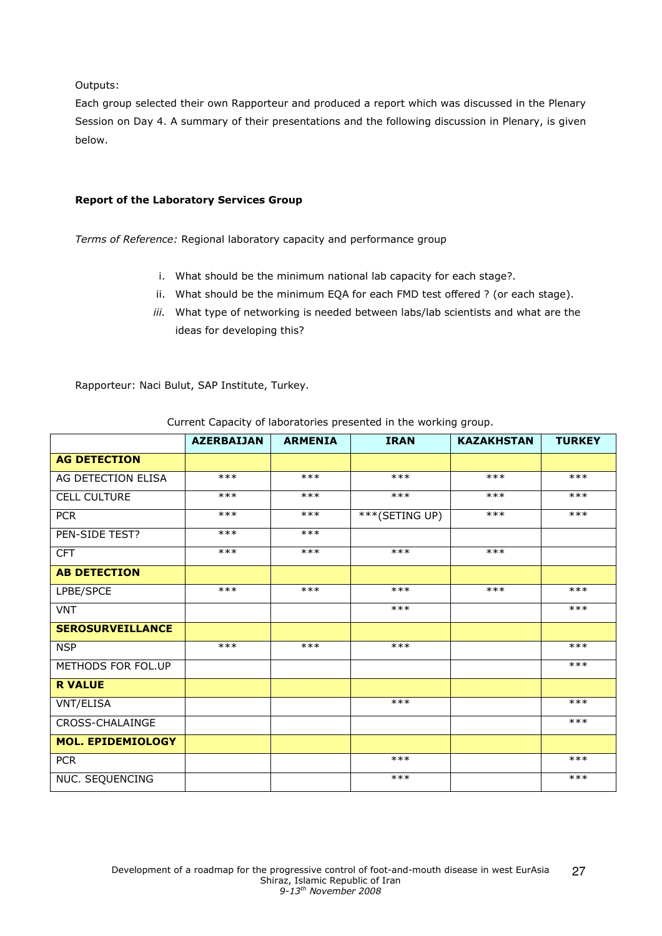Outputs:

Each group selected their own Rapporteur and produced a report which was discussed in the Plenary Session on Day 4. A summary of their presentations and the following discussion in Plenary, is given below.

## Report of the Laboratory Services Group

Terms of Reference: Regional laboratory capacity and performance group

- i. What should be the minimum national lab capacity for each stage?.
- ii. What should be the minimum EQA for each FMD test offered ? (or each stage).
- iii. What type of networking is needed between labs/lab scientists and what are the ideas for developing this?

Rapporteur: Naci Bulut, SAP Institute, Turkey.

|                          | <b>AZERBAIJAN</b> | <b>ARMENIA</b> | <b>IRAN</b>    | <b>KAZAKHSTAN</b> | <b>TURKEY</b> |
|--------------------------|-------------------|----------------|----------------|-------------------|---------------|
| <b>AG DETECTION</b>      |                   |                |                |                   |               |
| AG DETECTION ELISA       | $***$             | $***$          | $***$          | $***$             | $***$         |
| <b>CELL CULTURE</b>      | $***$             | $***$          | $***$          | $***$             | $***$         |
| <b>PCR</b>               | $***$             | $***$          | ***(SETING UP) | $***$             | $***$         |
| PEN-SIDE TEST?           | $***$             | $***$          |                |                   |               |
| <b>CFT</b>               | $***$             | $***$          | $***$          | $***$             |               |
| <b>AB DETECTION</b>      |                   |                |                |                   |               |
| LPBE/SPCE                | $***$             | $***$          | $***$          | $***$             | $***$         |
| <b>VNT</b>               |                   |                | $***$          |                   | $***$         |
| <b>SEROSURVEILLANCE</b>  |                   |                |                |                   |               |
| <b>NSP</b>               | $***$             | $***$          | $***$          |                   | ***           |
| METHODS FOR FOL.UP       |                   |                |                |                   | $***$         |
| <b>R VALUE</b>           |                   |                |                |                   |               |
| VNT/ELISA                |                   |                | $***$          |                   | $***$         |
| CROSS-CHALAINGE          |                   |                |                |                   | ***           |
| <b>MOL. EPIDEMIOLOGY</b> |                   |                |                |                   |               |
| <b>PCR</b>               |                   |                | $***$          |                   | $***$         |
| NUC. SEQUENCING          |                   |                | $***$          |                   | $***$         |

Current Capacity of laboratories presented in the working group.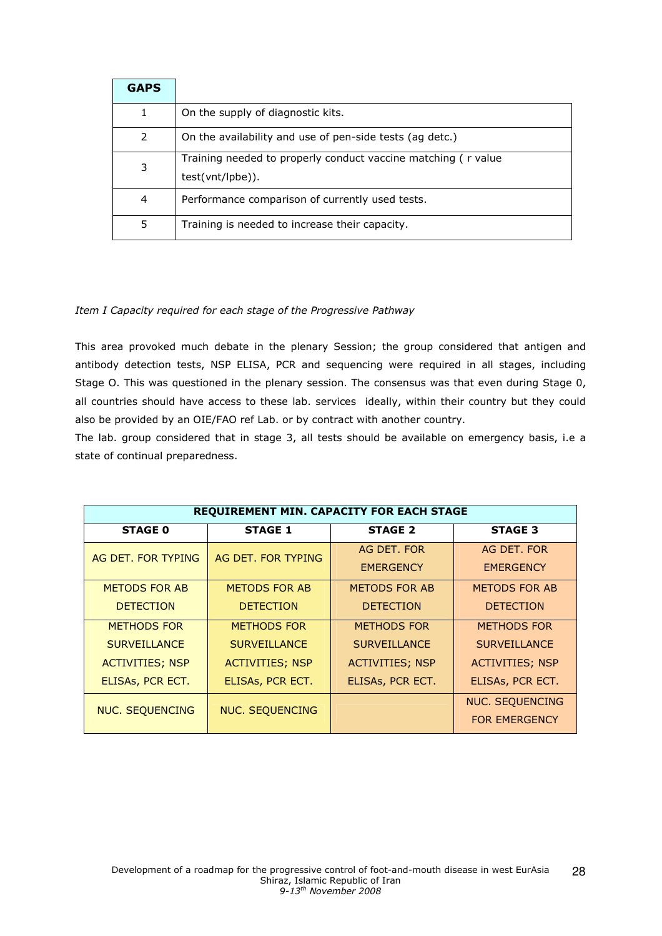| <b>GAPS</b> |                                                                                   |
|-------------|-----------------------------------------------------------------------------------|
| 1           | On the supply of diagnostic kits.                                                 |
| 2           | On the availability and use of pen-side tests (ag detc.)                          |
| 3           | Training needed to properly conduct vaccine matching (r value<br>test(vnt/lpbe)). |
| 4           | Performance comparison of currently used tests.                                   |
| 5           | Training is needed to increase their capacity.                                    |

### Item I Capacity required for each stage of the Progressive Pathway

This area provoked much debate in the plenary Session; the group considered that antigen and antibody detection tests, NSP ELISA, PCR and sequencing were required in all stages, including Stage O. This was questioned in the plenary session. The consensus was that even during Stage 0, all countries should have access to these lab. services ideally, within their country but they could also be provided by an OIE/FAO ref Lab. or by contract with another country.

The lab. group considered that in stage 3, all tests should be available on emergency basis, i.e a state of continual preparedness.

| REQUIREMENT MIN. CAPACITY FOR EACH STAGE         |                        |                        |                        |
|--------------------------------------------------|------------------------|------------------------|------------------------|
| <b>STAGE 0</b>                                   | <b>STAGE 1</b>         | <b>STAGE 2</b>         | <b>STAGE 3</b>         |
| AG DET. FOR TYPING                               | AG DET. FOR TYPING     | AG DET. FOR            | AG DET. FOR            |
|                                                  |                        | <b>EMERGENCY</b>       | <b>EMERGENCY</b>       |
| METODS FOR AB                                    | METODS FOR AB          | <b>METODS FOR AB</b>   | <b>METODS FOR AB</b>   |
| <b>DETECTION</b>                                 | <b>DETECTION</b>       | <b>DETECTION</b>       | <b>DETECTION</b>       |
| <b>METHODS FOR</b>                               | <b>METHODS FOR</b>     | <b>METHODS FOR</b>     | <b>METHODS FOR</b>     |
| <b>SURVEILLANCE</b>                              | <b>SURVEILLANCE</b>    | <b>SURVEILLANCE</b>    | <b>SURVEILLANCE</b>    |
| <b>ACTIVITIES; NSP</b>                           | <b>ACTIVITIES; NSP</b> | <b>ACTIVITIES; NSP</b> | <b>ACTIVITIES; NSP</b> |
| ELISAs, PCR ECT.                                 | ELISAs, PCR ECT.       | ELISAs, PCR ECT.       | ELISAs, PCR ECT.       |
| <b>NUC. SEQUENCING</b><br><b>NUC. SEQUENCING</b> |                        |                        | <b>NUC. SEQUENCING</b> |
|                                                  |                        |                        | <b>FOR EMERGENCY</b>   |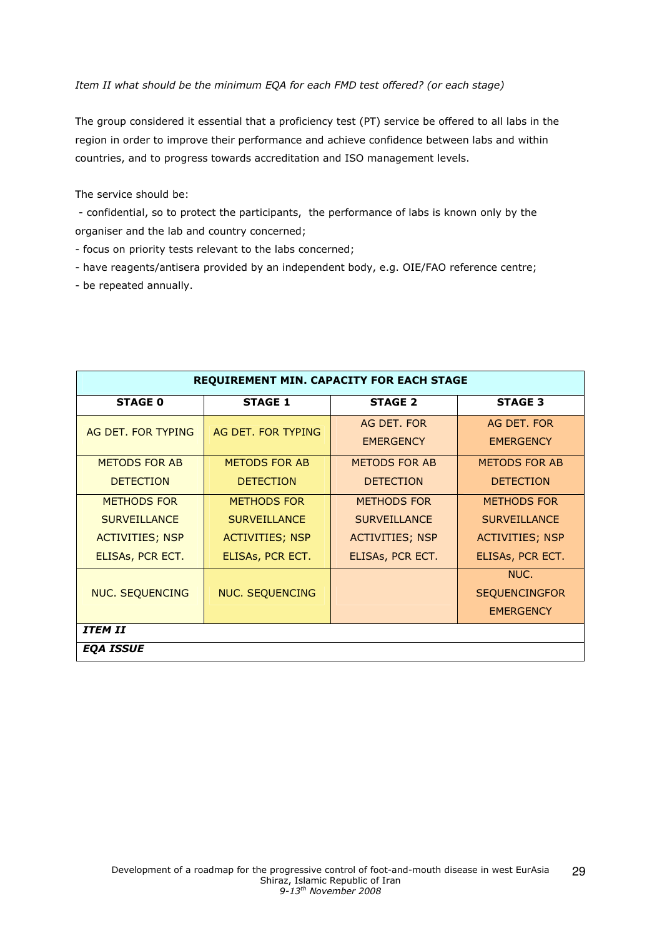Item II what should be the minimum EQA for each FMD test offered? (or each stage)

The group considered it essential that a proficiency test (PT) service be offered to all labs in the region in order to improve their performance and achieve confidence between labs and within countries, and to progress towards accreditation and ISO management levels.

The service should be:

 - confidential, so to protect the participants, the performance of labs is known only by the organiser and the lab and country concerned;

- focus on priority tests relevant to the labs concerned;

- have reagents/antisera provided by an independent body, e.g. OIE/FAO reference centre;

- be repeated annually.

| <b>REQUIREMENT MIN. CAPACITY FOR EACH STAGE</b> |                        |                                 |                                 |
|-------------------------------------------------|------------------------|---------------------------------|---------------------------------|
| <b>STAGE 0</b>                                  | <b>STAGE 1</b>         | <b>STAGE 2</b>                  | <b>STAGE 3</b>                  |
| AG DET. FOR TYPING                              | AG DET. FOR TYPING     | AG DET. FOR<br><b>EMERGENCY</b> | AG DET. FOR<br><b>EMERGENCY</b> |
| <b>METODS FOR AB</b>                            | <b>METODS FOR AB</b>   | <b>METODS FOR AB</b>            | <b>METODS FOR AB</b>            |
| <b>DETECTION</b>                                | <b>DETECTION</b>       | <b>DETECTION</b>                | <b>DETECTION</b>                |
| <b>METHODS FOR</b>                              | <b>METHODS FOR</b>     | <b>METHODS FOR</b>              | <b>METHODS FOR</b>              |
| <b>SURVEILLANCE</b>                             | <b>SURVEILLANCE</b>    | <b>SURVEILLANCE</b>             | <b>SURVEILLANCE</b>             |
| <b>ACTIVITIES; NSP</b>                          | <b>ACTIVITIES; NSP</b> | <b>ACTIVITIES; NSP</b>          | <b>ACTIVITIES; NSP</b>          |
| ELISAs, PCR ECT.                                | ELISAs, PCR ECT.       | ELISAs, PCR ECT.                | ELISAs, PCR ECT.                |
|                                                 |                        |                                 | NUC.                            |
| <b>NUC. SEQUENCING</b>                          | <b>NUC. SEQUENCING</b> |                                 | <b>SEQUENCINGFOR</b>            |
|                                                 |                        |                                 | <b>EMERGENCY</b>                |
| <b>ITEM II</b>                                  |                        |                                 |                                 |
| <b>EOA ISSUE</b>                                |                        |                                 |                                 |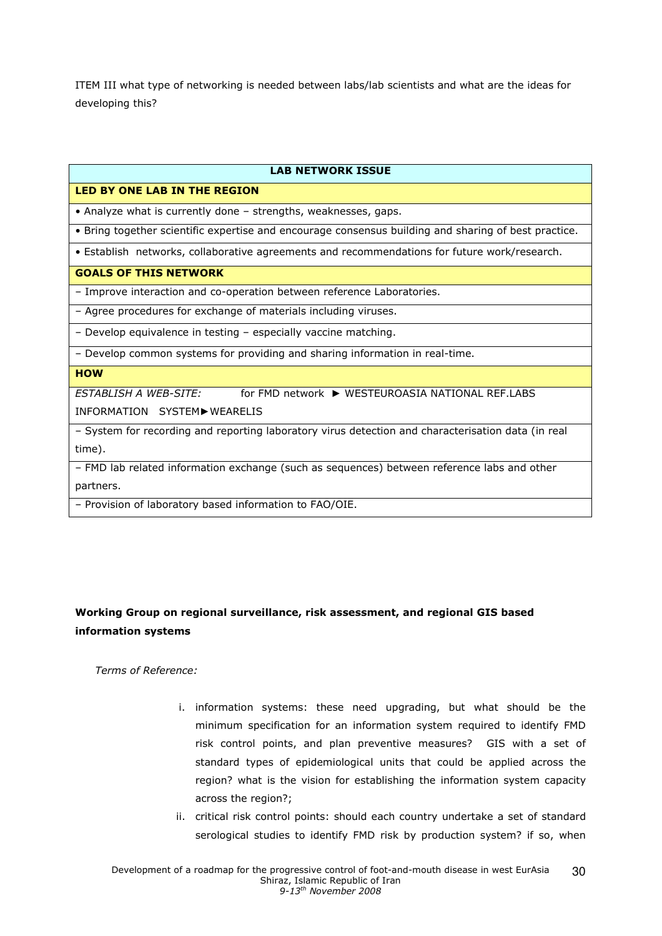ITEM III what type of networking is needed between labs/lab scientists and what are the ideas for developing this?

### **LAB NETWORK ISSUE**

## LED BY ONE LAB IN THE REGION

• Analyze what is currently done – strengths, weaknesses, gaps.

• Bring together scientific expertise and encourage consensus building and sharing of best practice.

• Establish networks, collaborative agreements and recommendations for future work/research.

#### GOALS OF THIS NETWORK

– Improve interaction and co-operation between reference Laboratories.

– Agree procedures for exchange of materials including viruses.

– Develop equivalence in testing – especially vaccine matching.

– Develop common systems for providing and sharing information in real-time.

### **HOW**

ESTABLISH A WEB-SITE: for FMD network ► WESTEUROASIA NATIONAL REF.LABS INFORMATION SYSTEM►WEARELIS

– System for recording and reporting laboratory virus detection and characterisation data (in real time).

– FMD lab related information exchange (such as sequences) between reference labs and other partners.

– Provision of laboratory based information to FAO/OIE.

## Working Group on regional surveillance, risk assessment, and regional GIS based information systems

Terms of Reference:

- i. information systems: these need upgrading, but what should be the minimum specification for an information system required to identify FMD risk control points, and plan preventive measures? GIS with a set of standard types of epidemiological units that could be applied across the region? what is the vision for establishing the information system capacity across the region?;
- ii. critical risk control points: should each country undertake a set of standard serological studies to identify FMD risk by production system? if so, when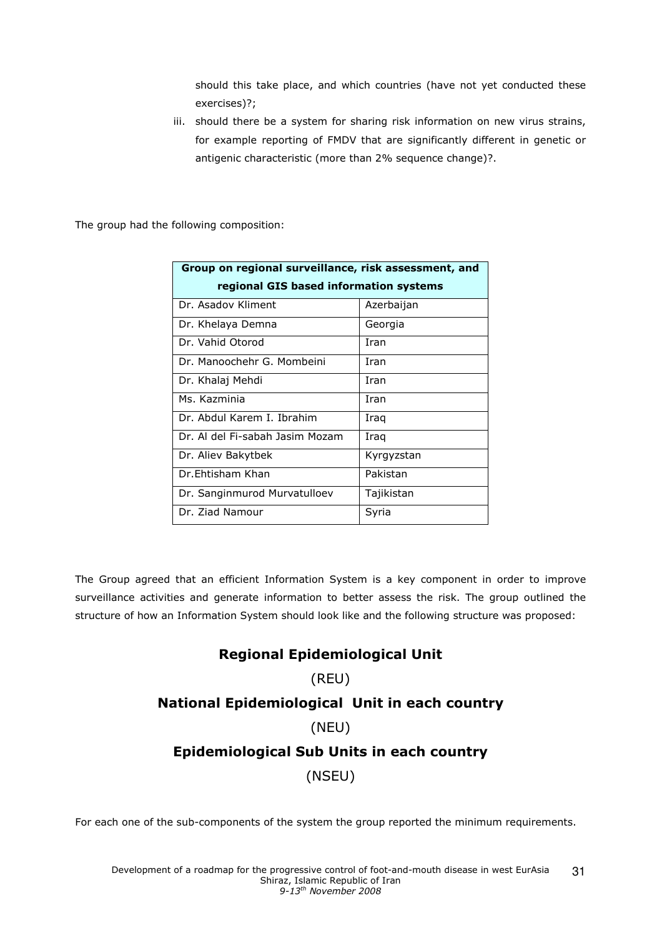should this take place, and which countries (have not yet conducted these exercises)?;

iii. should there be a system for sharing risk information on new virus strains, for example reporting of FMDV that are significantly different in genetic or antigenic characteristic (more than 2% sequence change)?.

The group had the following composition:

| Group on regional surveillance, risk assessment, and<br>regional GIS based information systems |            |  |  |
|------------------------------------------------------------------------------------------------|------------|--|--|
| Dr. Asadov Kliment                                                                             | Azerbaijan |  |  |
| Dr. Khelaya Demna                                                                              | Georgia    |  |  |
| Dr. Vahid Otorod                                                                               | Iran       |  |  |
| Dr. Manoochehr G. Mombeini                                                                     | Iran       |  |  |
| Dr. Khalaj Mehdi                                                                               | Iran       |  |  |
| Ms. Kazminia                                                                                   | Iran       |  |  |
| Dr. Abdul Karem I. Ibrahim                                                                     | Iraq       |  |  |
| Dr. Al del Fi-sabah Jasim Mozam                                                                | Iraq       |  |  |
| Dr. Aliev Bakytbek                                                                             | Kyrgyzstan |  |  |
| Dr.Fhtisham Khan                                                                               | Pakistan   |  |  |
| Dr. Sanginmurod Murvatulloev                                                                   | Tajikistan |  |  |
| Dr. Ziad Namour                                                                                | Syria      |  |  |

The Group agreed that an efficient Information System is a key component in order to improve surveillance activities and generate information to better assess the risk. The group outlined the structure of how an Information System should look like and the following structure was proposed:

# Regional Epidemiological Unit

# (REU)

# National Epidemiological Unit in each country

(NEU)

# Epidemiological Sub Units in each country

(NSEU)

For each one of the sub-components of the system the group reported the minimum requirements.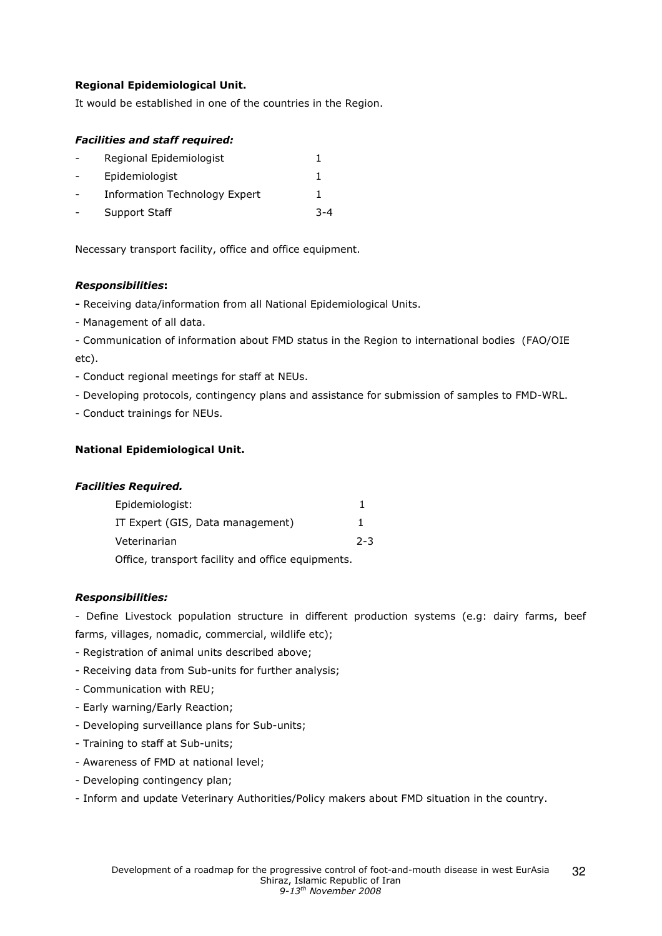## Regional Epidemiological Unit.

It would be established in one of the countries in the Region.

### Facilities and staff required:

| Regional Epidemiologist              |     |
|--------------------------------------|-----|
| Epidemiologist                       |     |
| <b>Information Technology Expert</b> |     |
| Support Staff                        | 3-4 |

Necessary transport facility, office and office equipment.

### Responsibilities:

- Receiving data/information from all National Epidemiological Units.

- Management of all data.

- Communication of information about FMD status in the Region to international bodies (FAO/OIE etc).

- Conduct regional meetings for staff at NEUs.
- Developing protocols, contingency plans and assistance for submission of samples to FMD-WRL.
- Conduct trainings for NEUs.

### National Epidemiological Unit.

#### Facilities Required.

| Epidemiologist:                                   |         |
|---------------------------------------------------|---------|
| IT Expert (GIS, Data management)                  | ı.      |
| Veterinarian                                      | $2 - 3$ |
| Office, transport facility and office equipments. |         |

#### Responsibilities:

- Define Livestock population structure in different production systems (e.g: dairy farms, beef farms, villages, nomadic, commercial, wildlife etc);

- Registration of animal units described above;
- Receiving data from Sub-units for further analysis;
- Communication with REU;
- Early warning/Early Reaction;
- Developing surveillance plans for Sub-units;
- Training to staff at Sub-units;
- Awareness of FMD at national level;
- Developing contingency plan;
- Inform and update Veterinary Authorities/Policy makers about FMD situation in the country.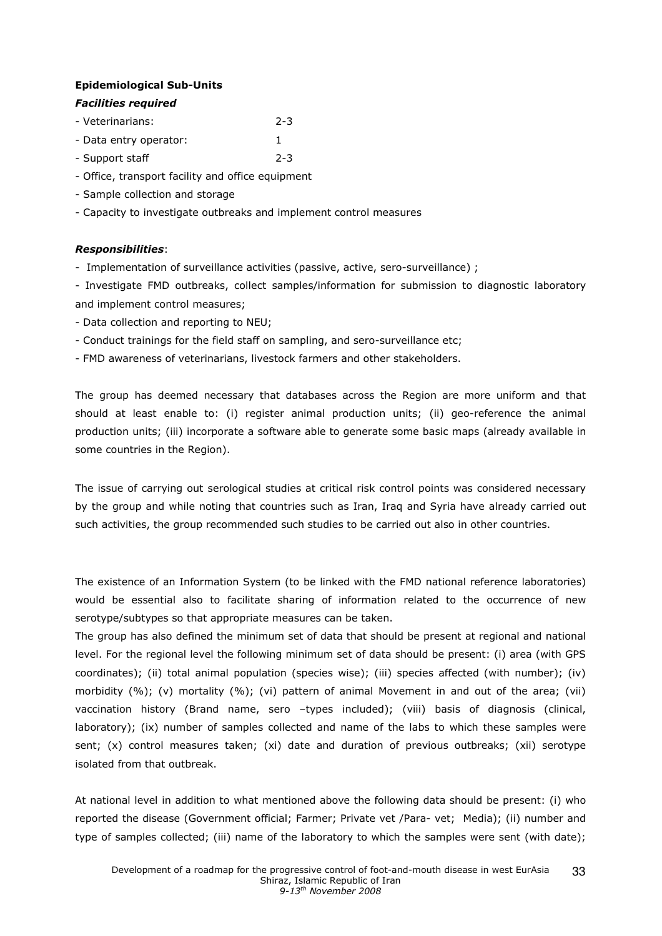### Epidemiological Sub-Units

### Facilities required

- Veterinarians: 2-3
- Data entry operator: 1
- Support staff 2-3
- Office, transport facility and office equipment
- Sample collection and storage
- Capacity to investigate outbreaks and implement control measures

### Responsibilities:

- Implementation of surveillance activities (passive, active, sero-surveillance) ;

- Investigate FMD outbreaks, collect samples/information for submission to diagnostic laboratory and implement control measures;

- Data collection and reporting to NEU;
- Conduct trainings for the field staff on sampling, and sero-surveillance etc;
- FMD awareness of veterinarians, livestock farmers and other stakeholders.

The group has deemed necessary that databases across the Region are more uniform and that should at least enable to: (i) register animal production units; (ii) geo-reference the animal production units; (iii) incorporate a software able to generate some basic maps (already available in some countries in the Region).

The issue of carrying out serological studies at critical risk control points was considered necessary by the group and while noting that countries such as Iran, Iraq and Syria have already carried out such activities, the group recommended such studies to be carried out also in other countries.

The existence of an Information System (to be linked with the FMD national reference laboratories) would be essential also to facilitate sharing of information related to the occurrence of new serotype/subtypes so that appropriate measures can be taken.

The group has also defined the minimum set of data that should be present at regional and national level. For the regional level the following minimum set of data should be present: (i) area (with GPS coordinates); (ii) total animal population (species wise); (iii) species affected (with number); (iv) morbidity (%); (v) mortality (%); (vi) pattern of animal Movement in and out of the area; (vii) vaccination history (Brand name, sero –types included); (viii) basis of diagnosis (clinical, laboratory); (ix) number of samples collected and name of the labs to which these samples were sent; (x) control measures taken; (xi) date and duration of previous outbreaks; (xii) serotype isolated from that outbreak.

At national level in addition to what mentioned above the following data should be present: (i) who reported the disease (Government official; Farmer; Private vet /Para- vet; Media); (ii) number and type of samples collected; (iii) name of the laboratory to which the samples were sent (with date);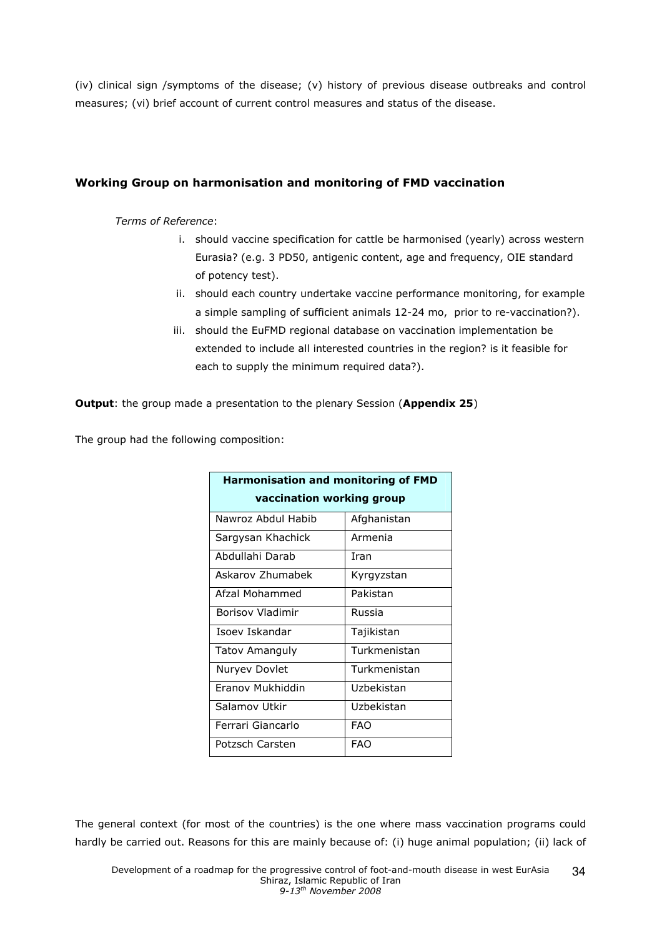(iv) clinical sign /symptoms of the disease; (v) history of previous disease outbreaks and control measures; (vi) brief account of current control measures and status of the disease.

## Working Group on harmonisation and monitoring of FMD vaccination

### Terms of Reference:

- i. should vaccine specification for cattle be harmonised (yearly) across western Eurasia? (e.g. 3 PD50, antigenic content, age and frequency, OIE standard of potency test).
- ii. should each country undertake vaccine performance monitoring, for example a simple sampling of sufficient animals 12-24 mo, prior to re-vaccination?).
- iii. should the EuFMD regional database on vaccination implementation be extended to include all interested countries in the region? is it feasible for each to supply the minimum required data?).

**Output:** the group made a presentation to the plenary Session (Appendix 25)

The group had the following composition:

| <b>Harmonisation and monitoring of FMD</b> |              |  |  |
|--------------------------------------------|--------------|--|--|
| vaccination working group                  |              |  |  |
| Nawroz Abdul Habib                         | Afghanistan  |  |  |
| Sargysan Khachick                          | Armenia      |  |  |
| Abdullahi Darab                            | Iran         |  |  |
| Askarov Zhumabek                           | Kyrgyzstan   |  |  |
| Afzal Mohammed                             | Pakistan     |  |  |
| <b>Borisov Vladimir</b>                    | Russia       |  |  |
| Isoev Iskandar                             | Tajikistan   |  |  |
| <b>Tatov Amanguly</b>                      | Turkmenistan |  |  |
| Nuryev Dovlet                              | Turkmenistan |  |  |
| Franov Mukhiddin                           | Uzbekistan   |  |  |
| Salamov Utkir                              | Uzbekistan   |  |  |
| Ferrari Giancarlo                          | <b>FAO</b>   |  |  |
| Potzsch Carsten                            | <b>FAO</b>   |  |  |

The general context (for most of the countries) is the one where mass vaccination programs could hardly be carried out. Reasons for this are mainly because of: (i) huge animal population; (ii) lack of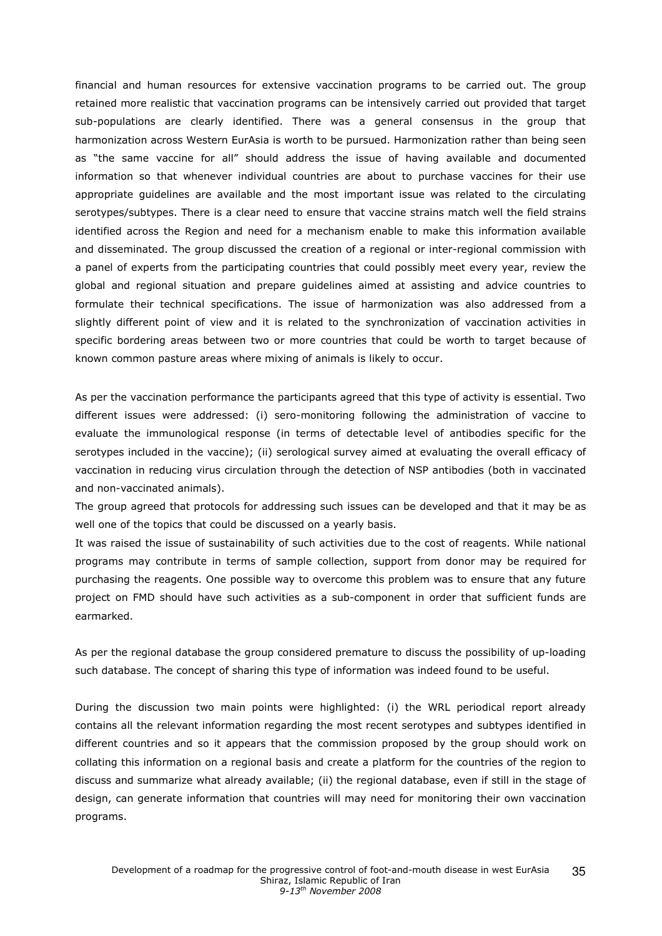financial and human resources for extensive vaccination programs to be carried out. The group retained more realistic that vaccination programs can be intensively carried out provided that target sub-populations are clearly identified. There was a general consensus in the group that harmonization across Western EurAsia is worth to be pursued. Harmonization rather than being seen as "the same vaccine for all" should address the issue of having available and documented information so that whenever individual countries are about to purchase vaccines for their use appropriate guidelines are available and the most important issue was related to the circulating serotypes/subtypes. There is a clear need to ensure that vaccine strains match well the field strains identified across the Region and need for a mechanism enable to make this information available and disseminated. The group discussed the creation of a regional or inter-regional commission with a panel of experts from the participating countries that could possibly meet every year, review the global and regional situation and prepare guidelines aimed at assisting and advice countries to formulate their technical specifications. The issue of harmonization was also addressed from a slightly different point of view and it is related to the synchronization of vaccination activities in specific bordering areas between two or more countries that could be worth to target because of known common pasture areas where mixing of animals is likely to occur.

As per the vaccination performance the participants agreed that this type of activity is essential. Two different issues were addressed: (i) sero-monitoring following the administration of vaccine to evaluate the immunological response (in terms of detectable level of antibodies specific for the serotypes included in the vaccine); (ii) serological survey aimed at evaluating the overall efficacy of vaccination in reducing virus circulation through the detection of NSP antibodies (both in vaccinated and non-vaccinated animals).

The group agreed that protocols for addressing such issues can be developed and that it may be as well one of the topics that could be discussed on a yearly basis.

It was raised the issue of sustainability of such activities due to the cost of reagents. While national programs may contribute in terms of sample collection, support from donor may be required for purchasing the reagents. One possible way to overcome this problem was to ensure that any future project on FMD should have such activities as a sub-component in order that sufficient funds are earmarked.

As per the regional database the group considered premature to discuss the possibility of up-loading such database. The concept of sharing this type of information was indeed found to be useful.

During the discussion two main points were highlighted: (i) the WRL periodical report already contains all the relevant information regarding the most recent serotypes and subtypes identified in different countries and so it appears that the commission proposed by the group should work on collating this information on a regional basis and create a platform for the countries of the region to discuss and summarize what already available; (ii) the regional database, even if still in the stage of design, can generate information that countries will may need for monitoring their own vaccination programs.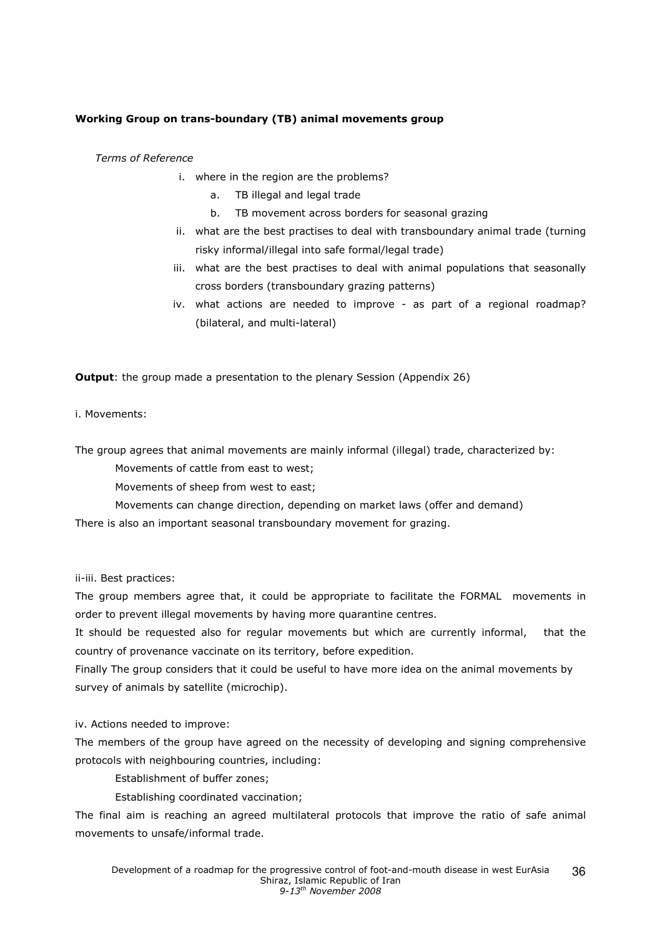### Working Group on trans-boundary (TB) animal movements group

Terms of Reference

- i. where in the region are the problems?
	- a. TB illegal and legal trade
	- b. TB movement across borders for seasonal grazing
- ii. what are the best practises to deal with transboundary animal trade (turning risky informal/illegal into safe formal/legal trade)
- iii. what are the best practises to deal with animal populations that seasonally cross borders (transboundary grazing patterns)
- iv. what actions are needed to improve as part of a regional roadmap? (bilateral, and multi-lateral)

**Output:** the group made a presentation to the plenary Session (Appendix 26)

i. Movements:

The group agrees that animal movements are mainly informal (illegal) trade, characterized by:

Movements of cattle from east to west;

Movements of sheep from west to east;

Movements can change direction, depending on market laws (offer and demand)

There is also an important seasonal transboundary movement for grazing.

ii-iii. Best practices:

The group members agree that, it could be appropriate to facilitate the FORMAL movements in order to prevent illegal movements by having more quarantine centres.

It should be requested also for regular movements but which are currently informal, that the country of provenance vaccinate on its territory, before expedition.

Finally The group considers that it could be useful to have more idea on the animal movements by survey of animals by satellite (microchip).

iv. Actions needed to improve:

The members of the group have agreed on the necessity of developing and signing comprehensive protocols with neighbouring countries, including:

Establishment of buffer zones;

Establishing coordinated vaccination;

The final aim is reaching an agreed multilateral protocols that improve the ratio of safe animal movements to unsafe/informal trade.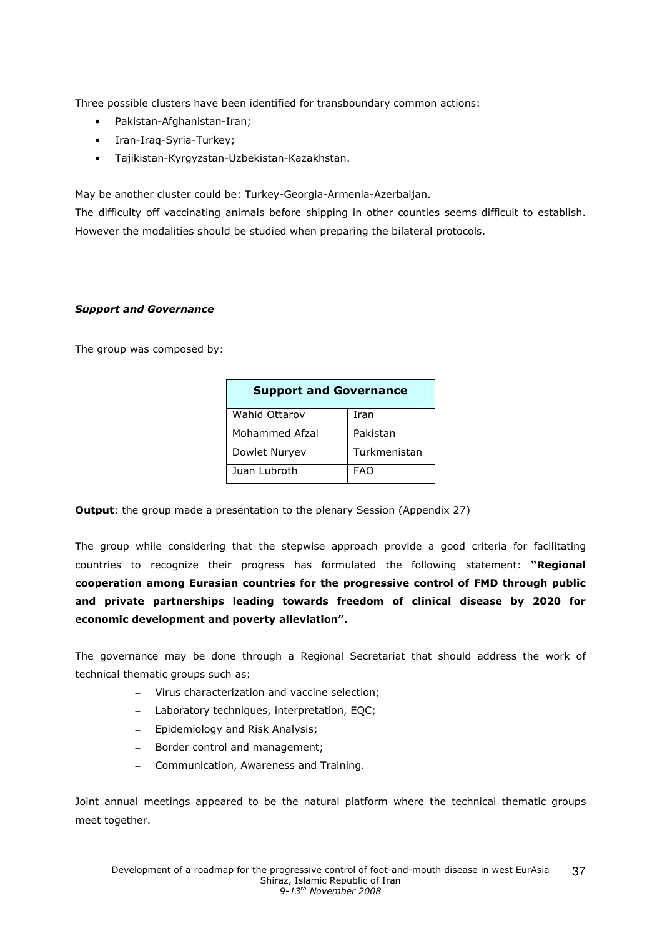Three possible clusters have been identified for transboundary common actions:

- Pakistan-Afghanistan-Iran;
- Iran-Iraq-Syria-Turkey;
- Tajikistan-Kyrgyzstan-Uzbekistan-Kazakhstan.

May be another cluster could be: Turkey-Georgia-Armenia-Azerbaijan.

The difficulty off vaccinating animals before shipping in other counties seems difficult to establish. However the modalities should be studied when preparing the bilateral protocols.

#### Support and Governance

The group was composed by:

| <b>Support and Governance</b> |              |  |
|-------------------------------|--------------|--|
| <b>Wahid Ottarov</b>          | Iran         |  |
| Mohammed Afzal                | Pakistan     |  |
| Dowlet Nuryev                 | Turkmenistan |  |
| Juan Lubroth                  | FAO          |  |

**Output:** the group made a presentation to the plenary Session (Appendix 27)

The group while considering that the stepwise approach provide a good criteria for facilitating countries to recognize their progress has formulated the following statement: "Regional cooperation among Eurasian countries for the progressive control of FMD through public and private partnerships leading towards freedom of clinical disease by 2020 for economic development and poverty alleviation".

The governance may be done through a Regional Secretariat that should address the work of technical thematic groups such as:

- Virus characterization and vaccine selection;
- Laboratory techniques, interpretation, EQC;
- Epidemiology and Risk Analysis;
- Border control and management;
- Communication, Awareness and Training.

Joint annual meetings appeared to be the natural platform where the technical thematic groups meet together.